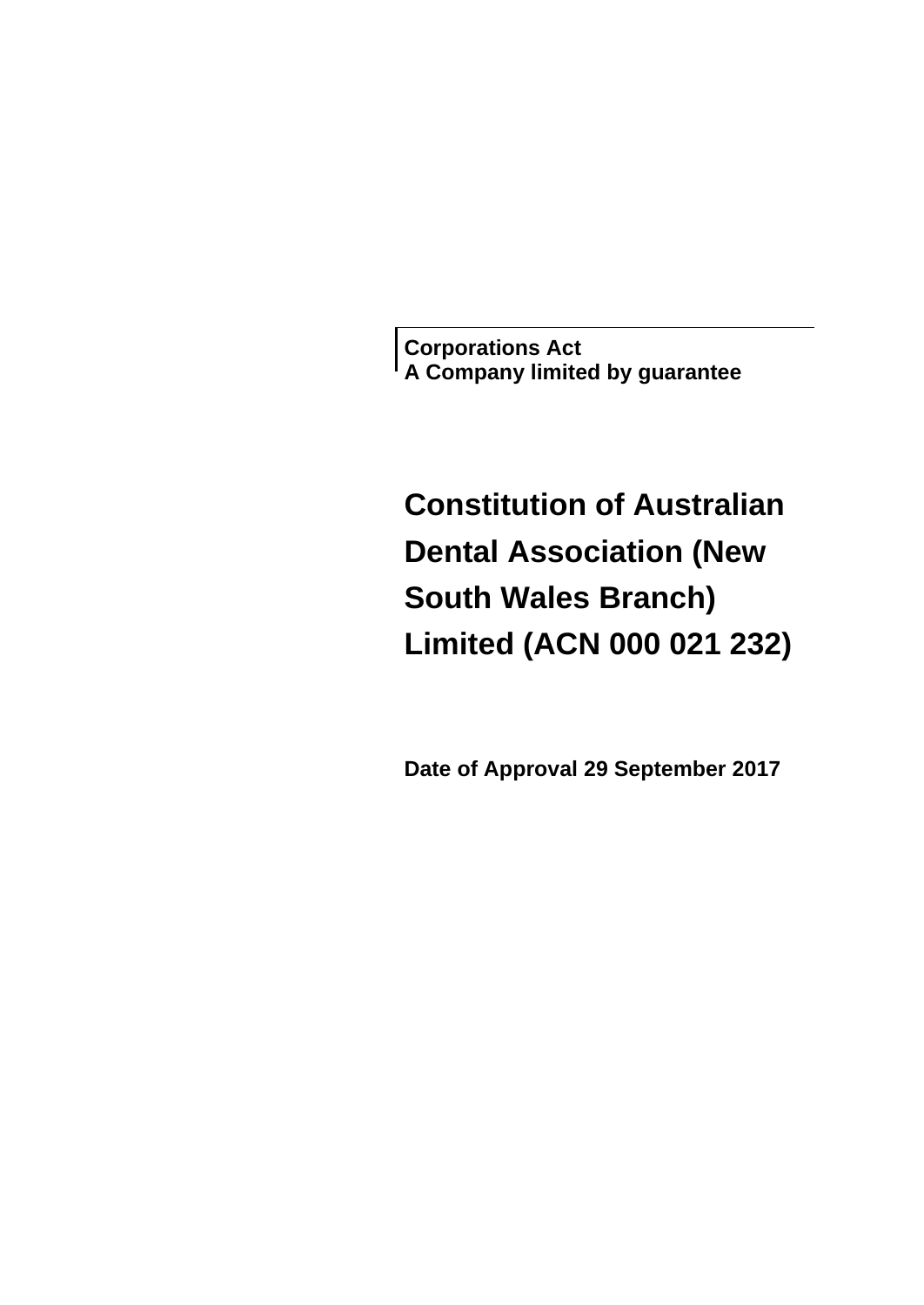**Corporations Act A Company limited by guarantee**

# **Constitution of Australian Dental Association (New South Wales Branch) Limited (ACN 000 021 232)**

**Date of Approval 29 September 2017**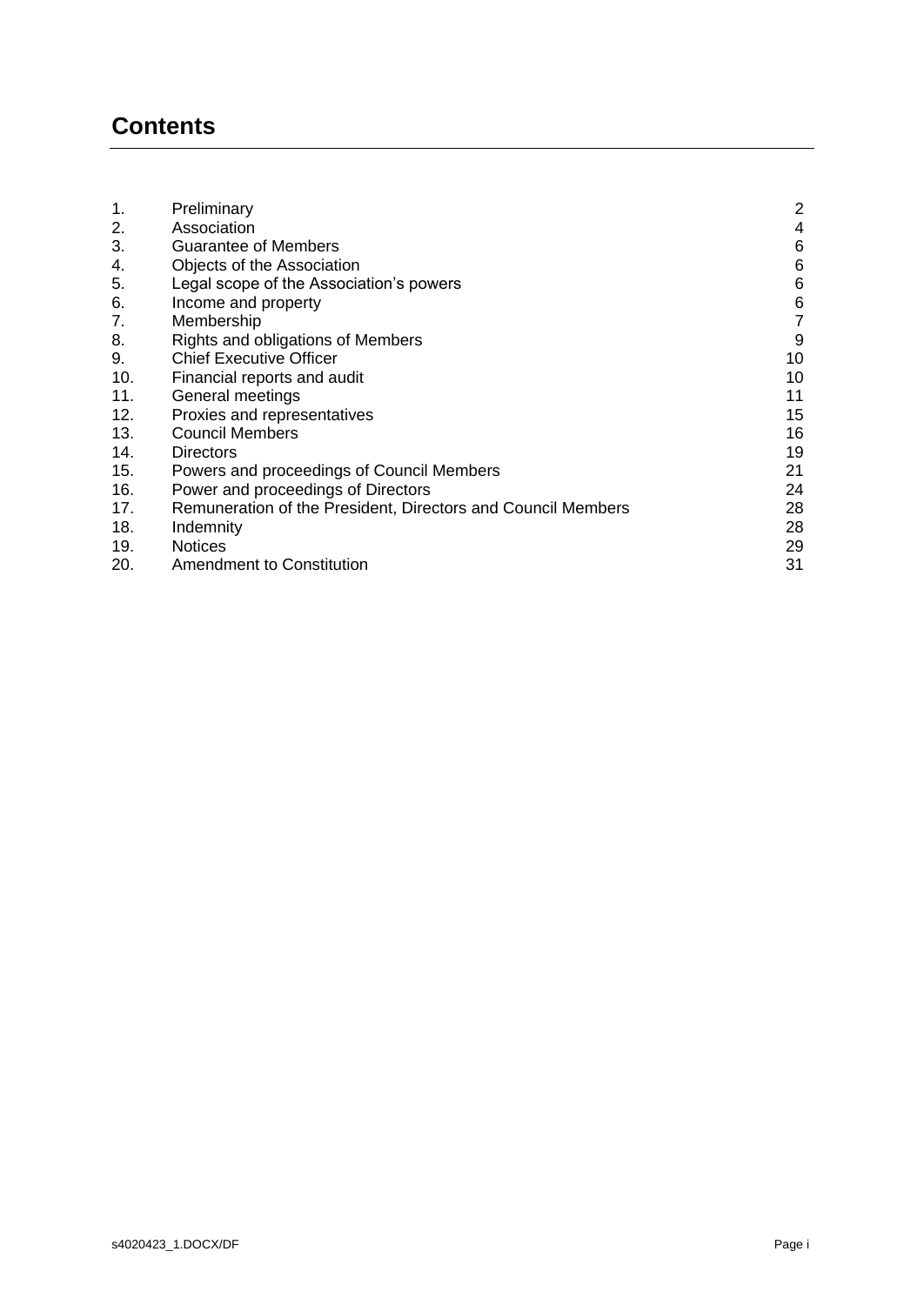# **Contents**

| 1.  | Preliminary                                                  | 2  |
|-----|--------------------------------------------------------------|----|
| 2.  | Association                                                  | 4  |
| 3.  | <b>Guarantee of Members</b>                                  | 6  |
| 4.  | Objects of the Association                                   | 6  |
| 5.  | Legal scope of the Association's powers                      | 6  |
| 6.  | Income and property                                          | 6  |
| 7.  | Membership                                                   | 7  |
| 8.  | Rights and obligations of Members                            | 9  |
| 9.  | <b>Chief Executive Officer</b>                               | 10 |
| 10. | Financial reports and audit                                  | 10 |
| 11. | General meetings                                             | 11 |
| 12. | Proxies and representatives                                  | 15 |
| 13. | <b>Council Members</b>                                       | 16 |
| 14. | <b>Directors</b>                                             | 19 |
| 15. | Powers and proceedings of Council Members                    | 21 |
| 16. | Power and proceedings of Directors                           | 24 |
| 17. | Remuneration of the President, Directors and Council Members | 28 |
| 18. | Indemnity                                                    | 28 |
| 19. | <b>Notices</b>                                               | 29 |
| 20. | <b>Amendment to Constitution</b>                             | 31 |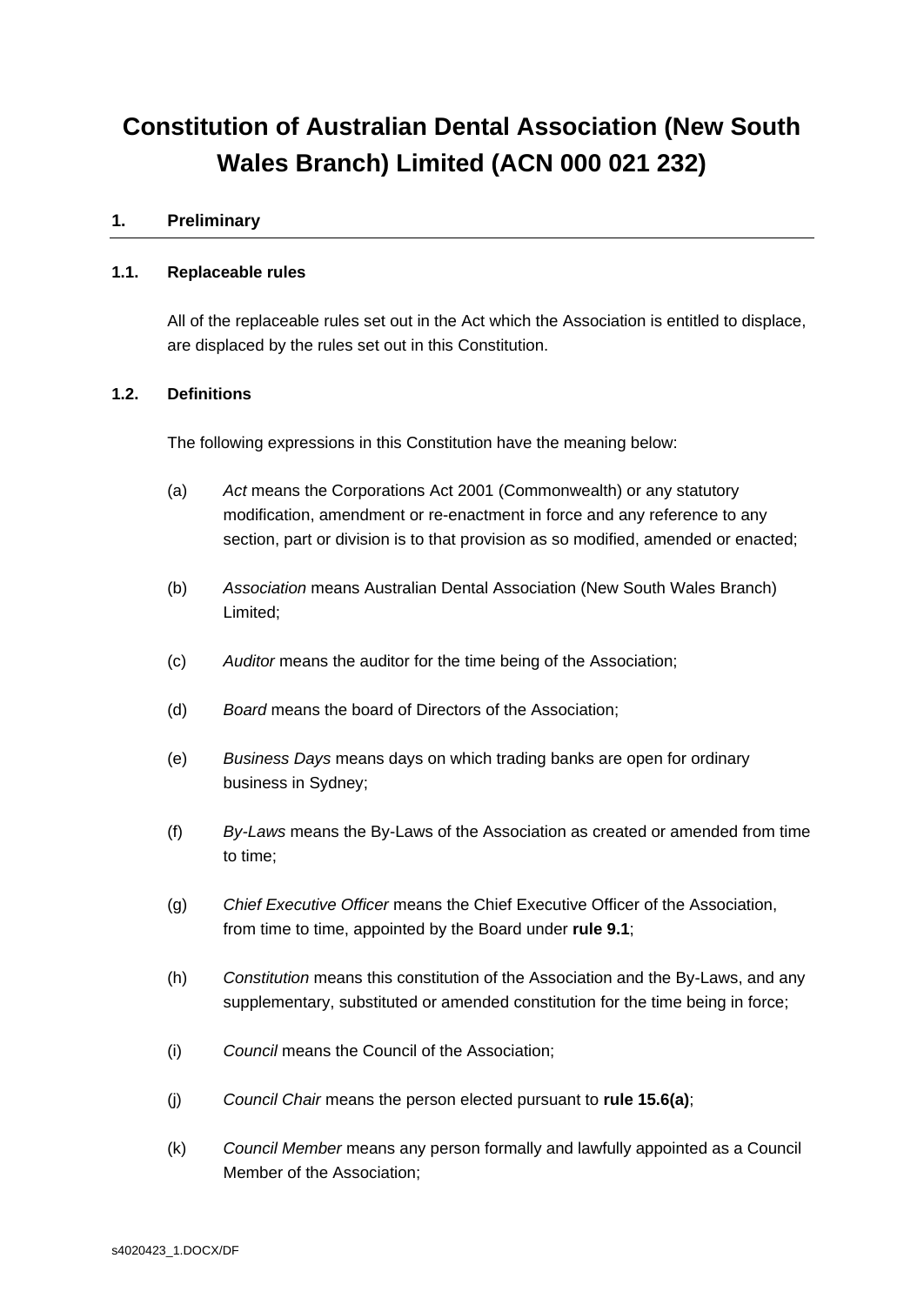# **Constitution of Australian Dental Association (New South Wales Branch) Limited (ACN 000 021 232)**

## <span id="page-2-0"></span>**1. Preliminary**

#### **1.1. Replaceable rules**

All of the replaceable rules set out in the Act which the Association is entitled to displace, are displaced by the rules set out in this Constitution.

## **1.2. Definitions**

The following expressions in this Constitution have the meaning below:

- (a) *Act* means the Corporations Act 2001 (Commonwealth) or any statutory modification, amendment or re-enactment in force and any reference to any section, part or division is to that provision as so modified, amended or enacted;
- (b) *Association* means Australian Dental Association (New South Wales Branch) Limited;
- (c) *Auditor* means the auditor for the time being of the Association;
- (d) *Board* means the board of Directors of the Association;
- (e) *Business Days* means days on which trading banks are open for ordinary business in Sydney;
- (f) *By-Laws* means the By-Laws of the Association as created or amended from time to time;
- (g) *Chief Executive Officer* means the Chief Executive Officer of the Association, from time to time, appointed by the Board under **rule [9.1](#page-10-2)**;
- (h) *Constitution* means this constitution of the Association and the By-Laws, and any supplementary, substituted or amended constitution for the time being in force;
- (i) *Council* means the Council of the Association;
- (j) *Council Chair* means the person elected pursuant to **rule [15.6\(a\)](#page-22-0)**;
- (k) *Council Member* means any person formally and lawfully appointed as a Council Member of the Association;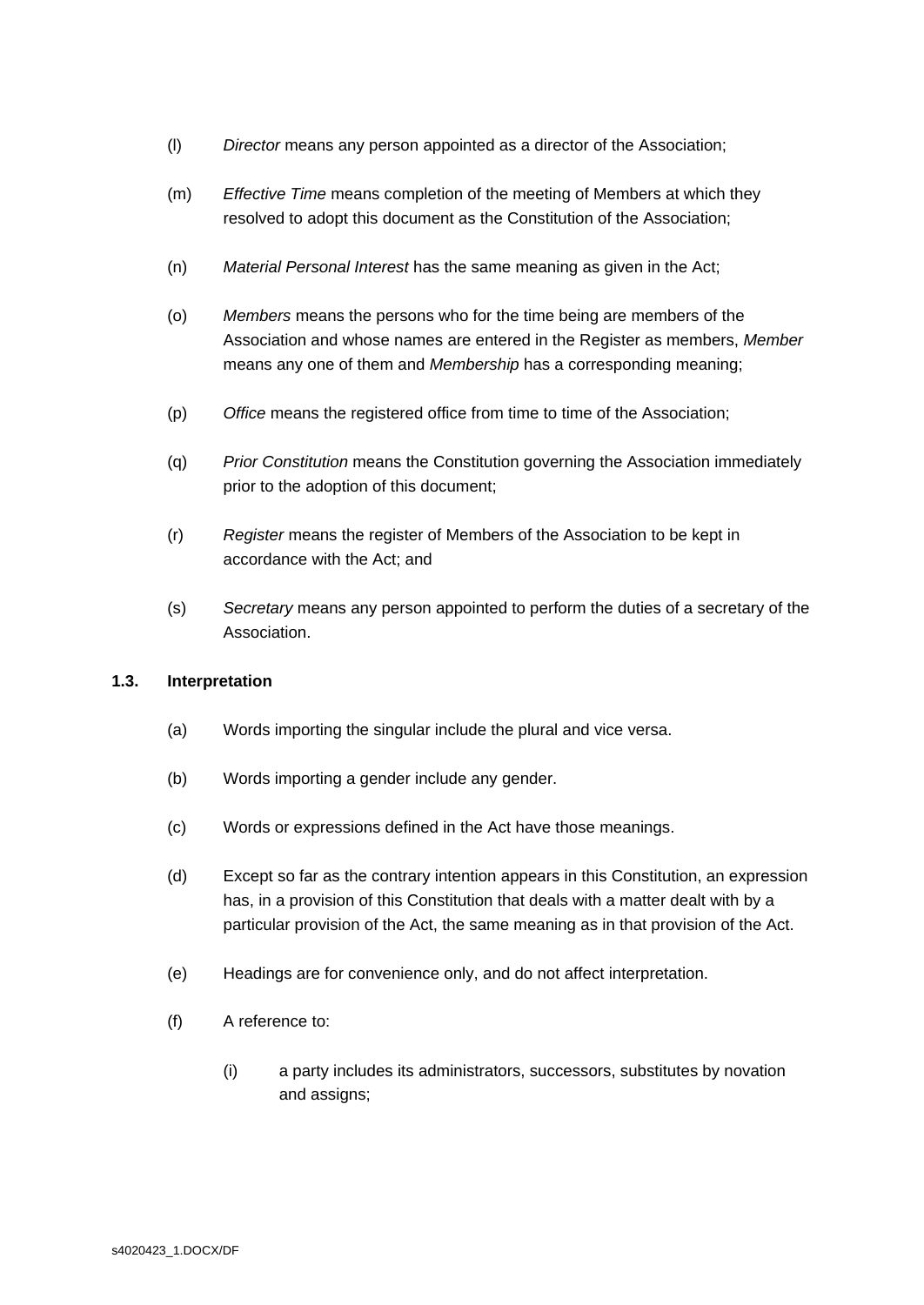- (l) *Director* means any person appointed as a director of the Association;
- (m) *Effective Time* means completion of the meeting of Members at which they resolved to adopt this document as the Constitution of the Association;
- (n) *Material Personal Interest* has the same meaning as given in the Act;
- (o) *Members* means the persons who for the time being are members of the Association and whose names are entered in the Register as members, *Member* means any one of them and *Membership* has a corresponding meaning;
- (p) *Office* means the registered office from time to time of the Association;
- (q) *Prior Constitution* means the Constitution governing the Association immediately prior to the adoption of this document;
- (r) *Register* means the register of Members of the Association to be kept in accordance with the Act; and
- (s) *Secretary* means any person appointed to perform the duties of a secretary of the Association.

#### **1.3. Interpretation**

- (a) Words importing the singular include the plural and vice versa.
- (b) Words importing a gender include any gender.
- (c) Words or expressions defined in the Act have those meanings.
- (d) Except so far as the contrary intention appears in this Constitution, an expression has, in a provision of this Constitution that deals with a matter dealt with by a particular provision of the Act, the same meaning as in that provision of the Act.
- (e) Headings are for convenience only, and do not affect interpretation.
- (f) A reference to:
	- (i) a party includes its administrators, successors, substitutes by novation and assigns;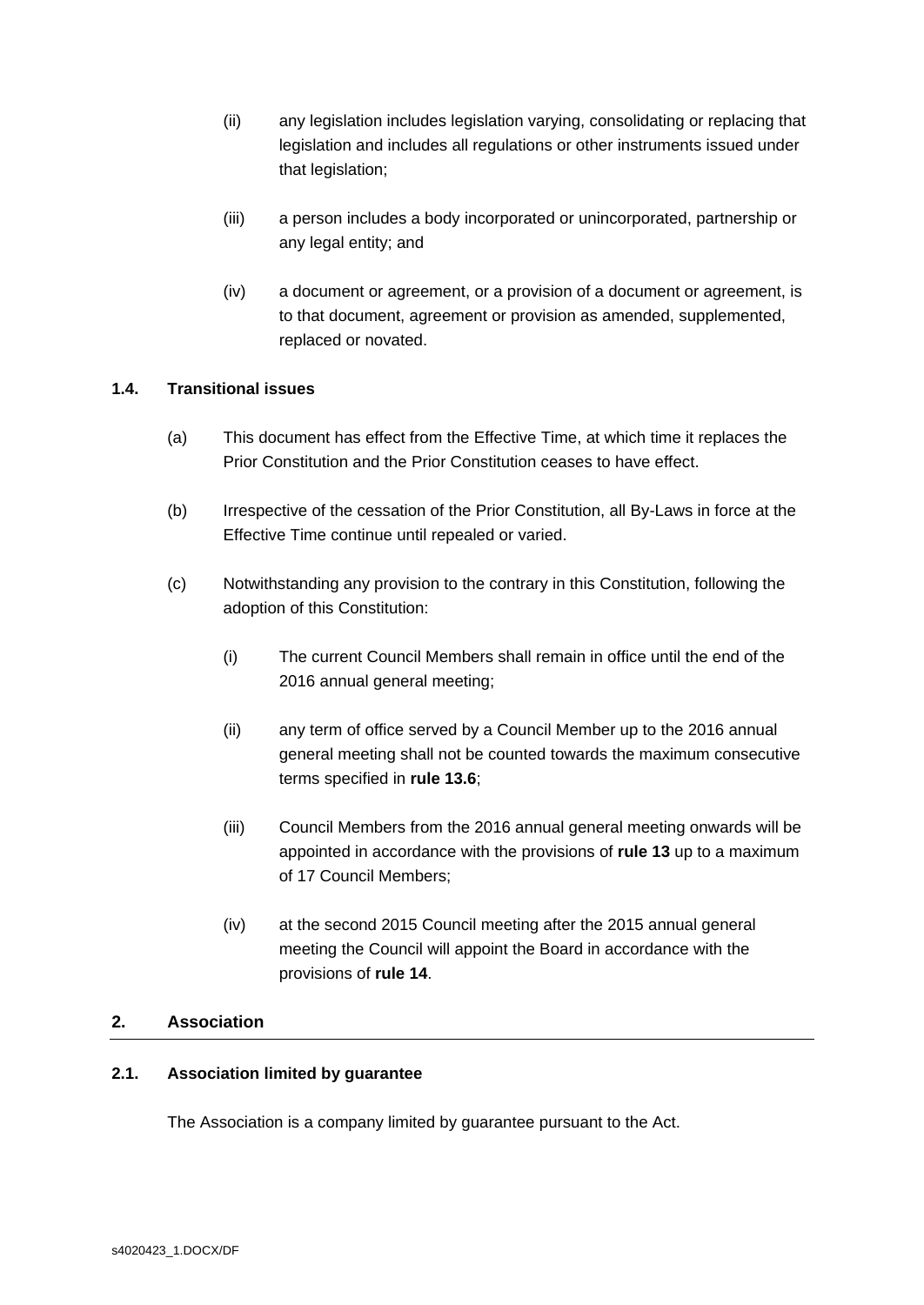- (ii) any legislation includes legislation varying, consolidating or replacing that legislation and includes all regulations or other instruments issued under that legislation;
- (iii) a person includes a body incorporated or unincorporated, partnership or any legal entity; and
- (iv) a document or agreement, or a provision of a document or agreement, is to that document, agreement or provision as amended, supplemented, replaced or novated.

# **1.4. Transitional issues**

- (a) This document has effect from the Effective Time, at which time it replaces the Prior Constitution and the Prior Constitution ceases to have effect.
- (b) Irrespective of the cessation of the Prior Constitution, all By-Laws in force at the Effective Time continue until repealed or varied.
- <span id="page-4-1"></span>(c) Notwithstanding any provision to the contrary in this Constitution, following the adoption of this Constitution:
	- (i) The current Council Members shall remain in office until the end of the 2016 annual general meeting;
	- (ii) any term of office served by a Council Member up to the 2016 annual general meeting shall not be counted towards the maximum consecutive terms specified in **rule [13.6](#page-17-0)**;
	- (iii) Council Members from the 2016 annual general meeting onwards will be appointed in accordance with the provisions of **rule [13](#page-16-0)** up to a maximum of 17 Council Members;
	- (iv) at the second 2015 Council meeting after the 2015 annual general meeting the Council will appoint the Board in accordance with the provisions of **rule [14](#page-19-0)**.

#### <span id="page-4-0"></span>**2. Association**

#### **2.1. Association limited by guarantee**

The Association is a company limited by guarantee pursuant to the Act.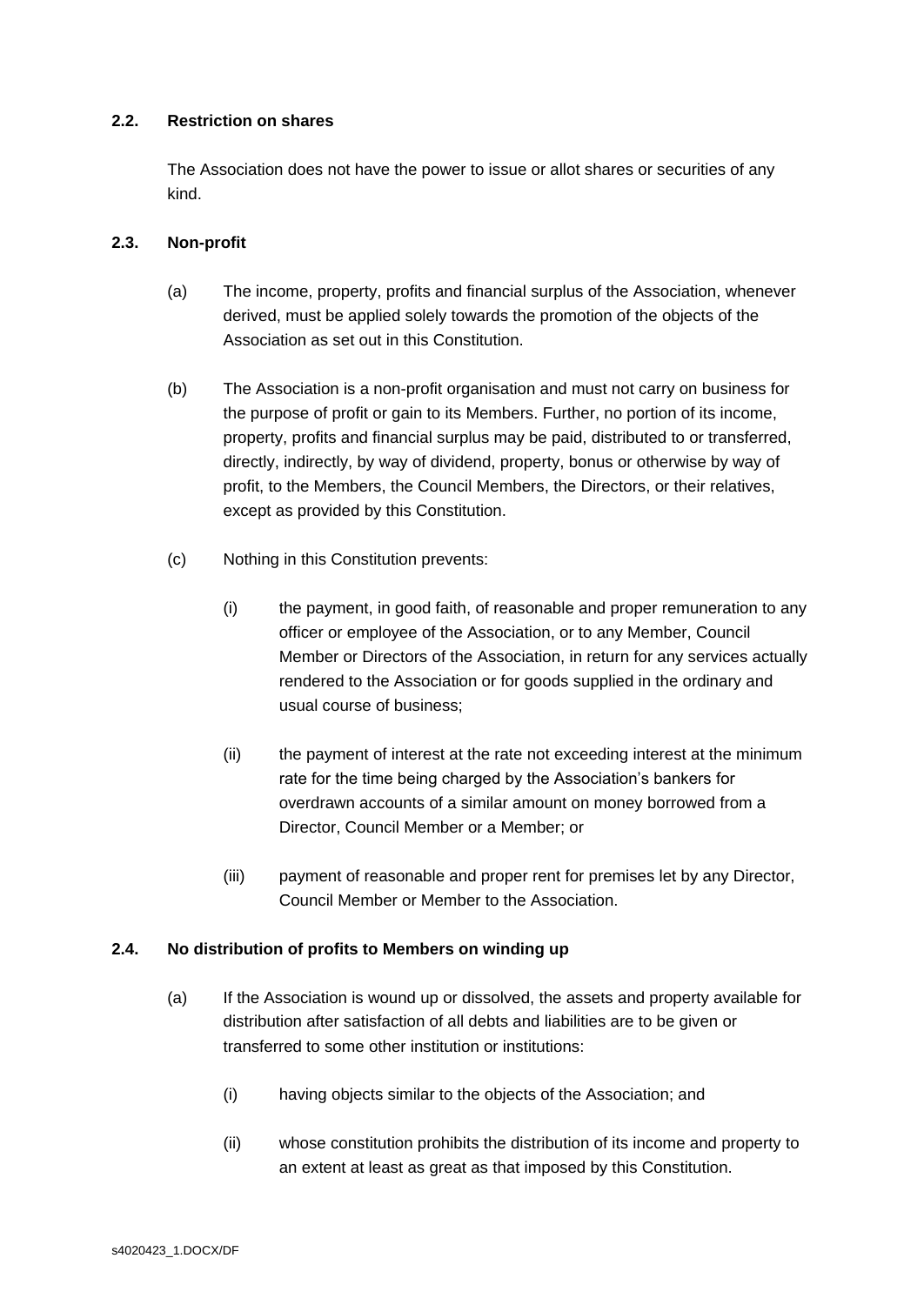# **2.2. Restriction on shares**

The Association does not have the power to issue or allot shares or securities of any kind.

## **2.3. Non-profit**

- (a) The income, property, profits and financial surplus of the Association, whenever derived, must be applied solely towards the promotion of the objects of the Association as set out in this Constitution.
- <span id="page-5-1"></span>(b) The Association is a non-profit organisation and must not carry on business for the purpose of profit or gain to its Members. Further, no portion of its income, property, profits and financial surplus may be paid, distributed to or transferred, directly, indirectly, by way of dividend, property, bonus or otherwise by way of profit, to the Members, the Council Members, the Directors, or their relatives, except as provided by this Constitution.
- (c) Nothing in this Constitution prevents:
	- (i) the payment, in good faith, of reasonable and proper remuneration to any officer or employee of the Association, or to any Member, Council Member or Directors of the Association, in return for any services actually rendered to the Association or for goods supplied in the ordinary and usual course of business;
	- (ii) the payment of interest at the rate not exceeding interest at the minimum rate for the time being charged by the Association's bankers for overdrawn accounts of a similar amount on money borrowed from a Director, Council Member or a Member; or
	- (iii) payment of reasonable and proper rent for premises let by any Director, Council Member or Member to the Association.

# <span id="page-5-0"></span>**2.4. No distribution of profits to Members on winding up**

- (a) If the Association is wound up or dissolved, the assets and property available for distribution after satisfaction of all debts and liabilities are to be given or transferred to some other institution or institutions:
	- (i) having objects similar to the objects of the Association; and
	- (ii) whose constitution prohibits the distribution of its income and property to an extent at least as great as that imposed by this Constitution.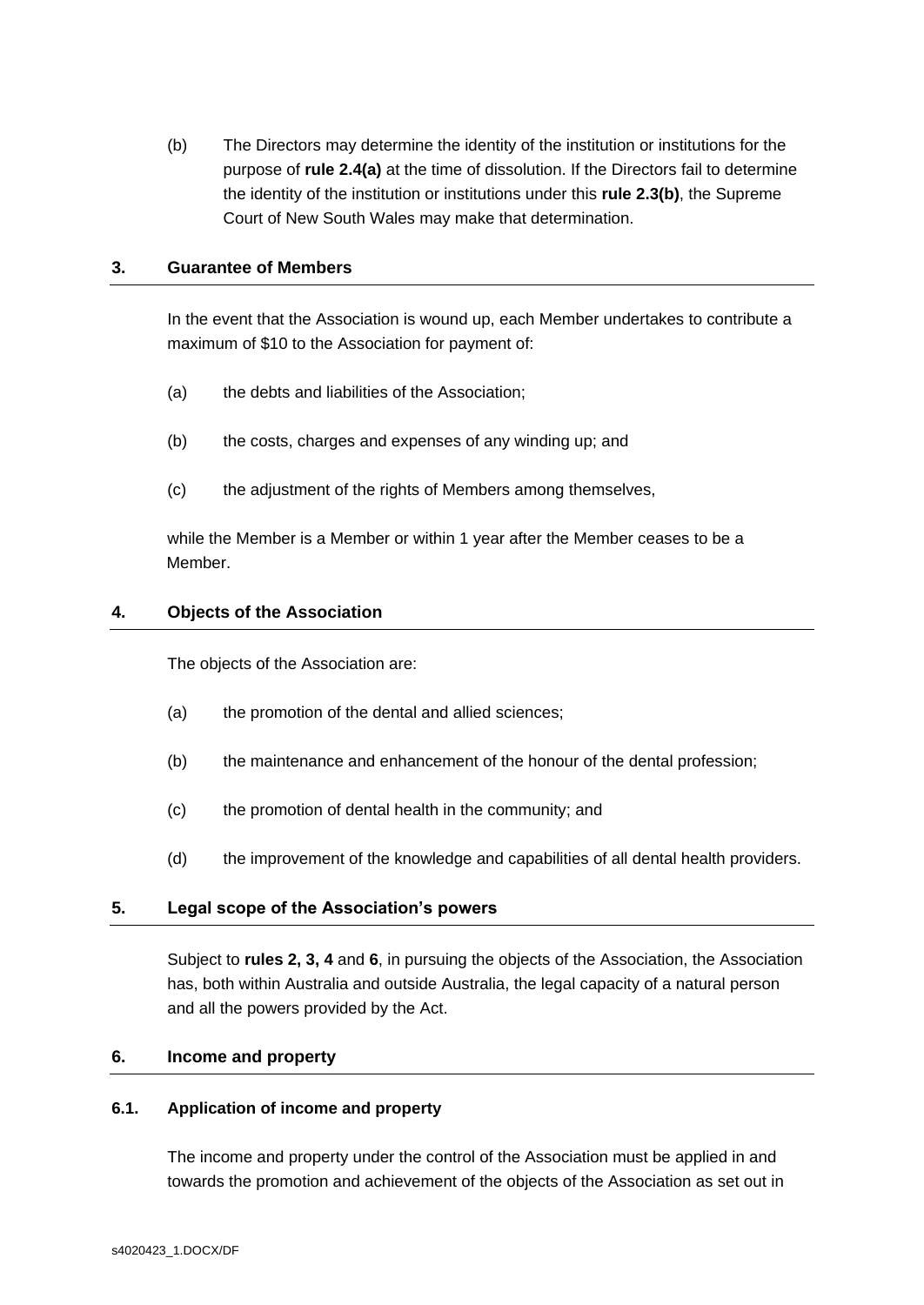(b) The Directors may determine the identity of the institution or institutions for the purpose of **rule [2.4\(a\)](#page-5-0)** at the time of dissolution. If the Directors fail to determine the identity of the institution or institutions under this **rule [2.3\(b\)](#page-5-1)**, the Supreme Court of New South Wales may make that determination.

#### <span id="page-6-0"></span>**3. Guarantee of Members**

In the event that the Association is wound up, each Member undertakes to contribute a maximum of \$10 to the Association for payment of:

- (a) the debts and liabilities of the Association;
- (b) the costs, charges and expenses of any winding up; and
- (c) the adjustment of the rights of Members among themselves,

while the Member is a Member or within 1 year after the Member ceases to be a Member.

## <span id="page-6-1"></span>**4. Objects of the Association**

The objects of the Association are:

- (a) the promotion of the dental and allied sciences;
- (b) the maintenance and enhancement of the honour of the dental profession;
- (c) the promotion of dental health in the community; and
- (d) the improvement of the knowledge and capabilities of all dental health providers.

# <span id="page-6-2"></span>**5. Legal scope of the Association's powers**

Subject to **rules [2,](#page-4-0) [3,](#page-6-0) [4](#page-6-1)** and **[6](#page-6-3)**, in pursuing the objects of the Association, the Association has, both within Australia and outside Australia, the legal capacity of a natural person and all the powers provided by the Act.

# <span id="page-6-3"></span>**6. Income and property**

#### <span id="page-6-4"></span>**6.1. Application of income and property**

The income and property under the control of the Association must be applied in and towards the promotion and achievement of the objects of the Association as set out in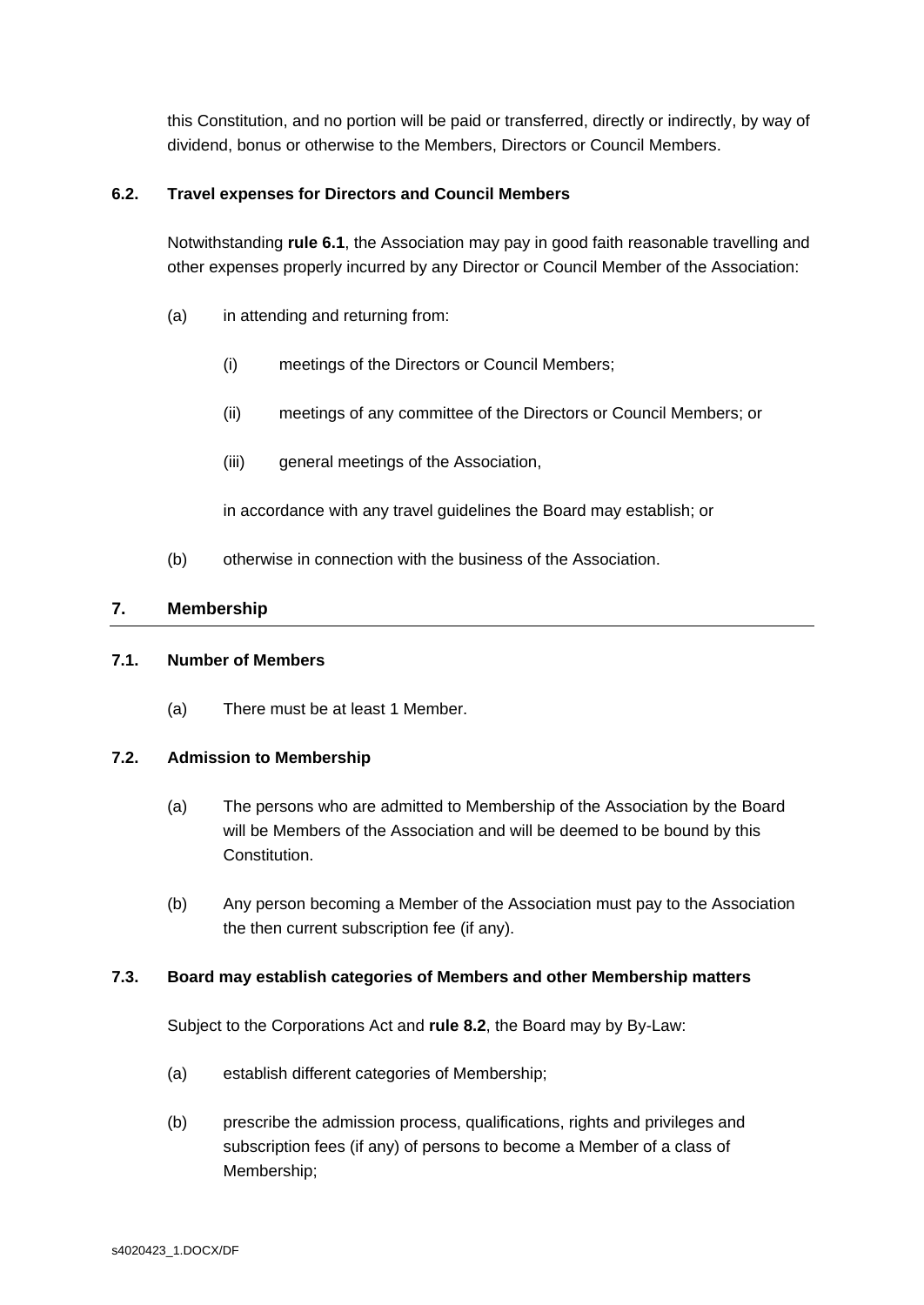this Constitution, and no portion will be paid or transferred, directly or indirectly, by way of dividend, bonus or otherwise to the Members, Directors or Council Members.

# **6.2. Travel expenses for Directors and Council Members**

Notwithstanding **rule [6.1](#page-6-4)**, the Association may pay in good faith reasonable travelling and other expenses properly incurred by any Director or Council Member of the Association:

- (a) in attending and returning from:
	- (i) meetings of the Directors or Council Members;
	- (ii) meetings of any committee of the Directors or Council Members; or
	- (iii) general meetings of the Association,

in accordance with any travel guidelines the Board may establish; or

(b) otherwise in connection with the business of the Association.

# <span id="page-7-0"></span>**7. Membership**

# **7.1. Number of Members**

(a) There must be at least 1 Member.

# **7.2. Admission to Membership**

- (a) The persons who are admitted to Membership of the Association by the Board will be Members of the Association and will be deemed to be bound by this Constitution.
- (b) Any person becoming a Member of the Association must pay to the Association the then current subscription fee (if any).

#### **7.3. Board may establish categories of Members and other Membership matters**

Subject to the Corporations Act and **rule [8.2](#page-9-1)**, the Board may by By-Law:

- (a) establish different categories of Membership;
- (b) prescribe the admission process, qualifications, rights and privileges and subscription fees (if any) of persons to become a Member of a class of Membership;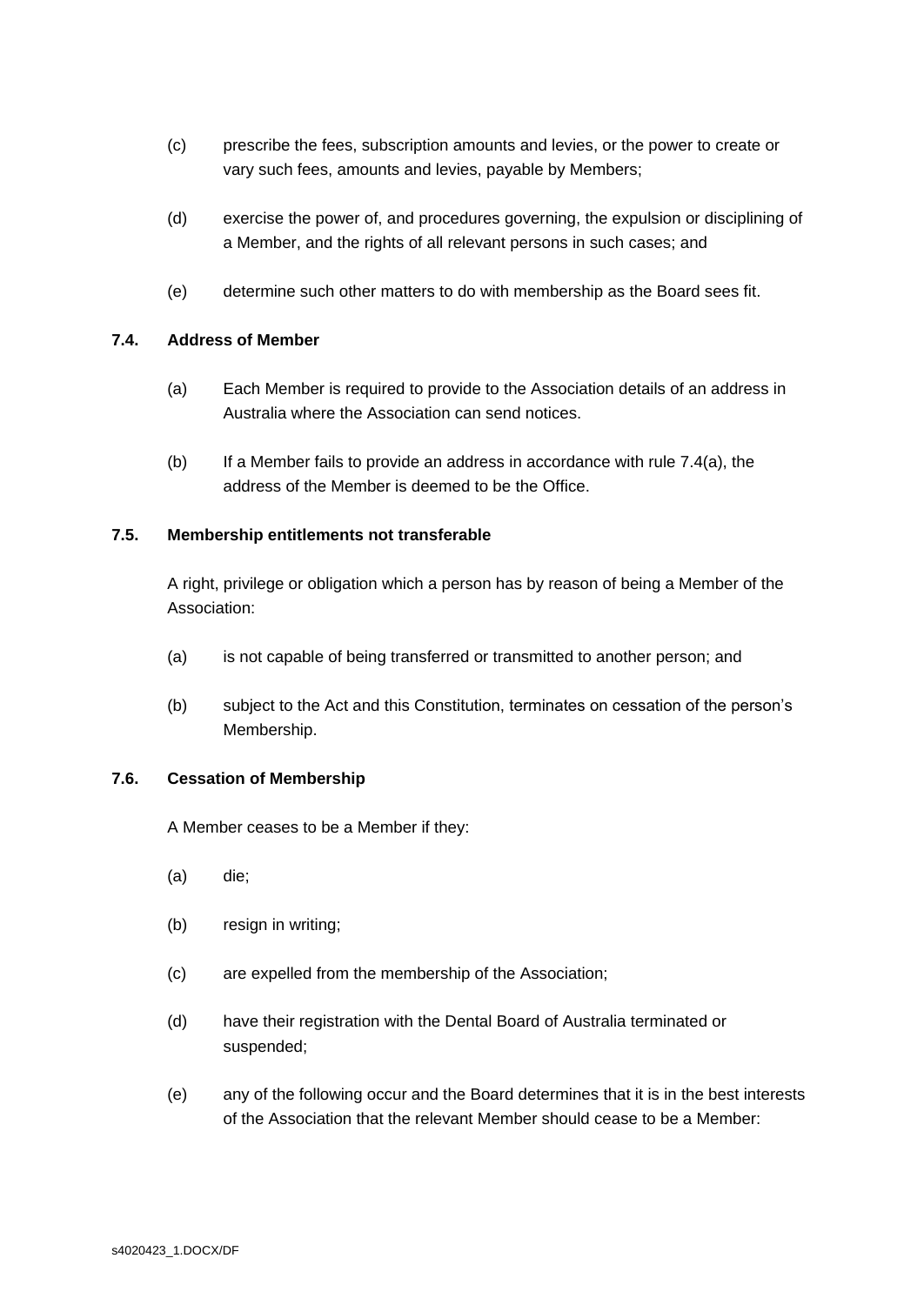- (c) prescribe the fees, subscription amounts and levies, or the power to create or vary such fees, amounts and levies, payable by Members;
- (d) exercise the power of, and procedures governing, the expulsion or disciplining of a Member, and the rights of all relevant persons in such cases; and
- (e) determine such other matters to do with membership as the Board sees fit.

## <span id="page-8-0"></span>**7.4. Address of Member**

- (a) Each Member is required to provide to the Association details of an address in Australia where the Association can send notices.
- (b) If a Member fails to provide an address in accordance with rule [7.4\(a\),](#page-8-0) the address of the Member is deemed to be the Office.

## **7.5. Membership entitlements not transferable**

A right, privilege or obligation which a person has by reason of being a Member of the Association:

- (a) is not capable of being transferred or transmitted to another person; and
- (b) subject to the Act and this Constitution, terminates on cessation of the person's Membership.

#### **7.6. Cessation of Membership**

A Member ceases to be a Member if they:

- (a) die;
- (b) resign in writing;
- (c) are expelled from the membership of the Association;
- (d) have their registration with the Dental Board of Australia terminated or suspended;
- (e) any of the following occur and the Board determines that it is in the best interests of the Association that the relevant Member should cease to be a Member: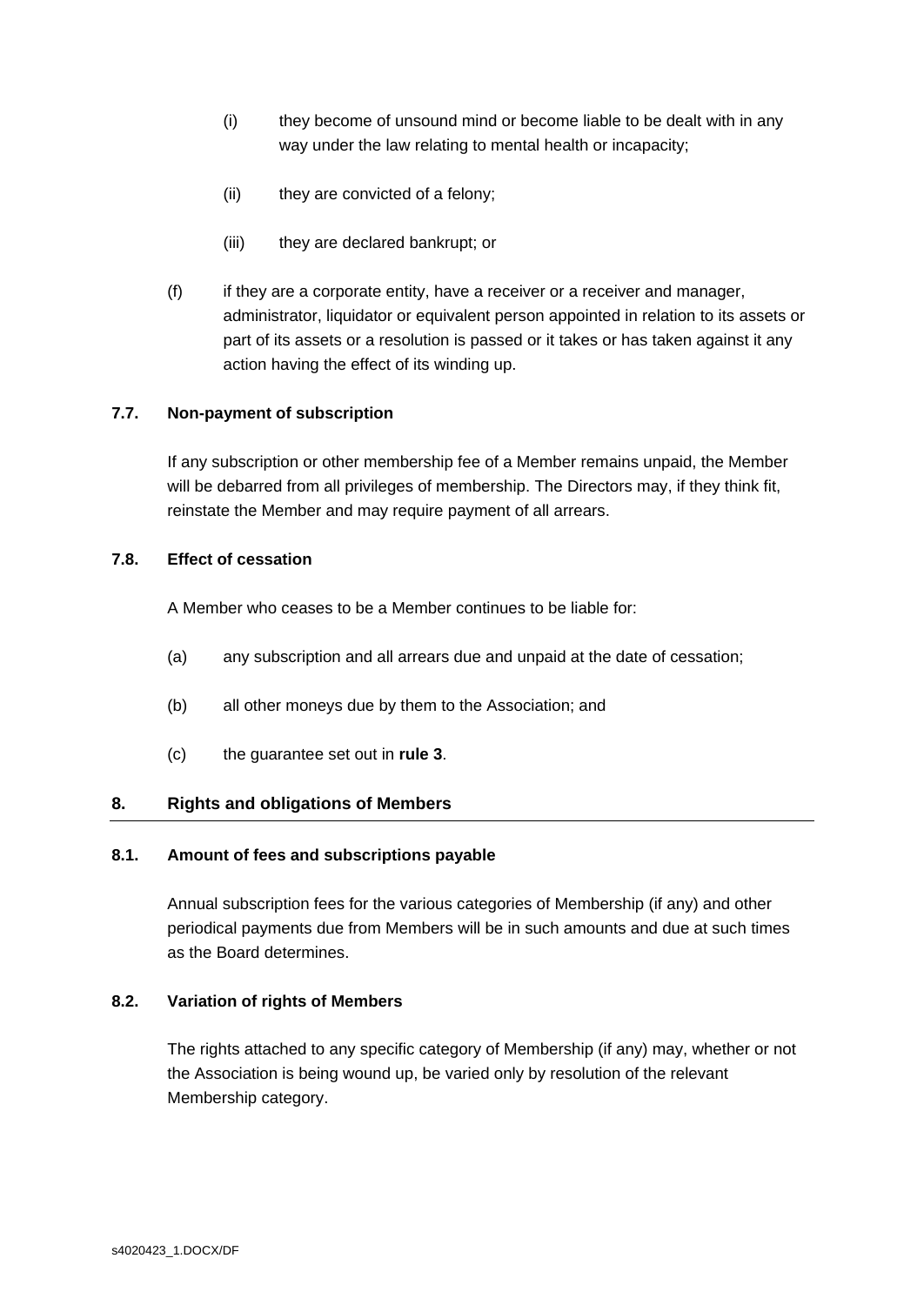- (i) they become of unsound mind or become liable to be dealt with in any way under the law relating to mental health or incapacity;
- (ii) they are convicted of a felony;
- (iii) they are declared bankrupt; or
- (f) if they are a corporate entity, have a receiver or a receiver and manager, administrator, liquidator or equivalent person appointed in relation to its assets or part of its assets or a resolution is passed or it takes or has taken against it any action having the effect of its winding up.

# **7.7. Non-payment of subscription**

If any subscription or other membership fee of a Member remains unpaid, the Member will be debarred from all privileges of membership. The Directors may, if they think fit, reinstate the Member and may require payment of all arrears.

## **7.8. Effect of cessation**

A Member who ceases to be a Member continues to be liable for:

- (a) any subscription and all arrears due and unpaid at the date of cessation;
- (b) all other moneys due by them to the Association; and
- (c) the guarantee set out in **rule [3](#page-6-0)**.

#### <span id="page-9-0"></span>**8. Rights and obligations of Members**

#### **8.1. Amount of fees and subscriptions payable**

Annual subscription fees for the various categories of Membership (if any) and other periodical payments due from Members will be in such amounts and due at such times as the Board determines.

#### <span id="page-9-1"></span>**8.2. Variation of rights of Members**

The rights attached to any specific category of Membership (if any) may, whether or not the Association is being wound up, be varied only by resolution of the relevant Membership category.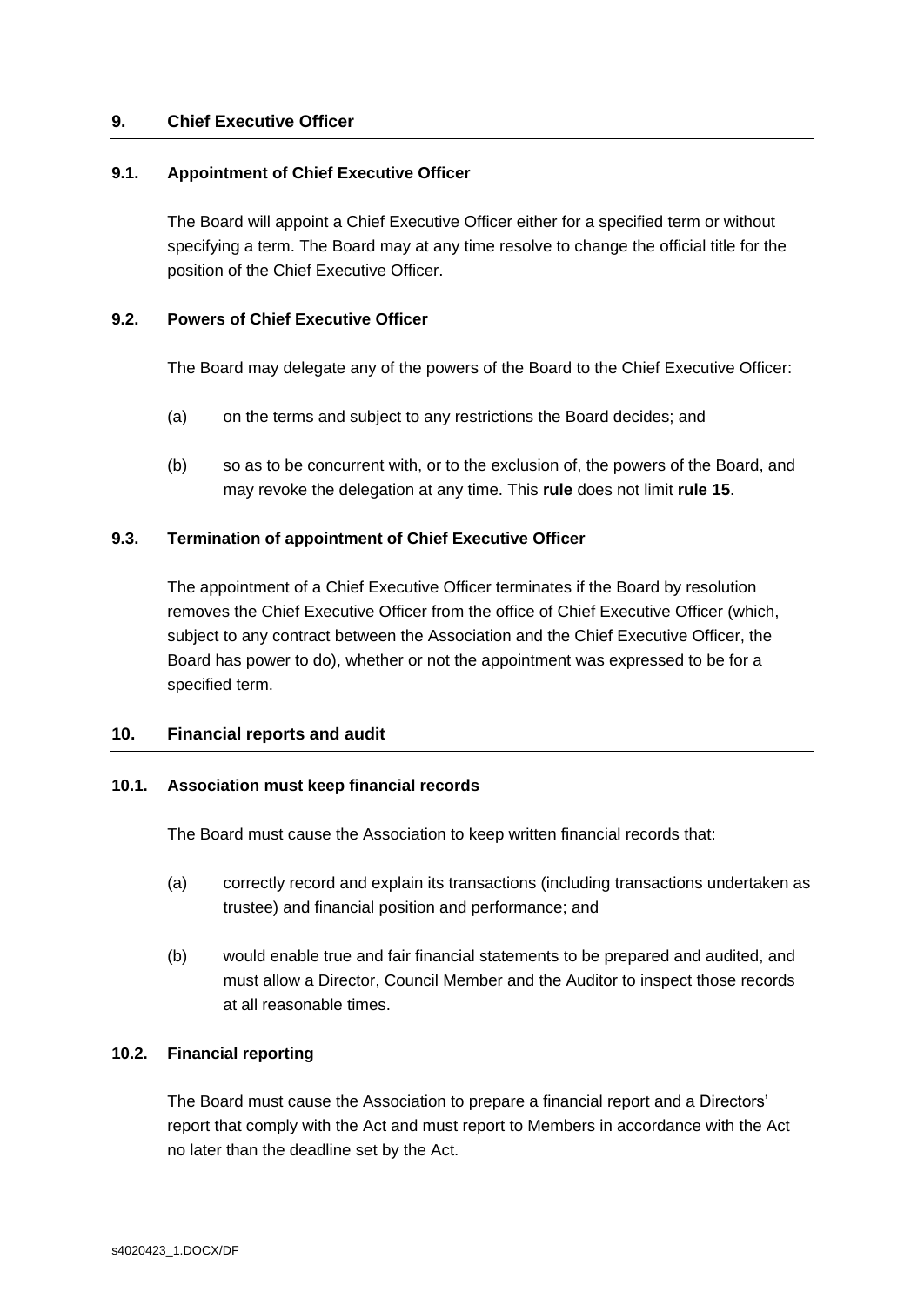## <span id="page-10-0"></span>**9. Chief Executive Officer**

#### <span id="page-10-2"></span>**9.1. Appointment of Chief Executive Officer**

The Board will appoint a Chief Executive Officer either for a specified term or without specifying a term. The Board may at any time resolve to change the official title for the position of the Chief Executive Officer.

#### **9.2. Powers of Chief Executive Officer**

The Board may delegate any of the powers of the Board to the Chief Executive Officer:

- (a) on the terms and subject to any restrictions the Board decides; and
- (b) so as to be concurrent with, or to the exclusion of, the powers of the Board, and may revoke the delegation at any time. This **rule** does not limit **rule [15](#page-21-0)**.

## **9.3. Termination of appointment of Chief Executive Officer**

The appointment of a Chief Executive Officer terminates if the Board by resolution removes the Chief Executive Officer from the office of Chief Executive Officer (which, subject to any contract between the Association and the Chief Executive Officer, the Board has power to do), whether or not the appointment was expressed to be for a specified term.

#### <span id="page-10-1"></span>**10. Financial reports and audit**

# **10.1. Association must keep financial records**

The Board must cause the Association to keep written financial records that:

- (a) correctly record and explain its transactions (including transactions undertaken as trustee) and financial position and performance; and
- (b) would enable true and fair financial statements to be prepared and audited, and must allow a Director, Council Member and the Auditor to inspect those records at all reasonable times.

#### **10.2. Financial reporting**

The Board must cause the Association to prepare a financial report and a Directors' report that comply with the Act and must report to Members in accordance with the Act no later than the deadline set by the Act.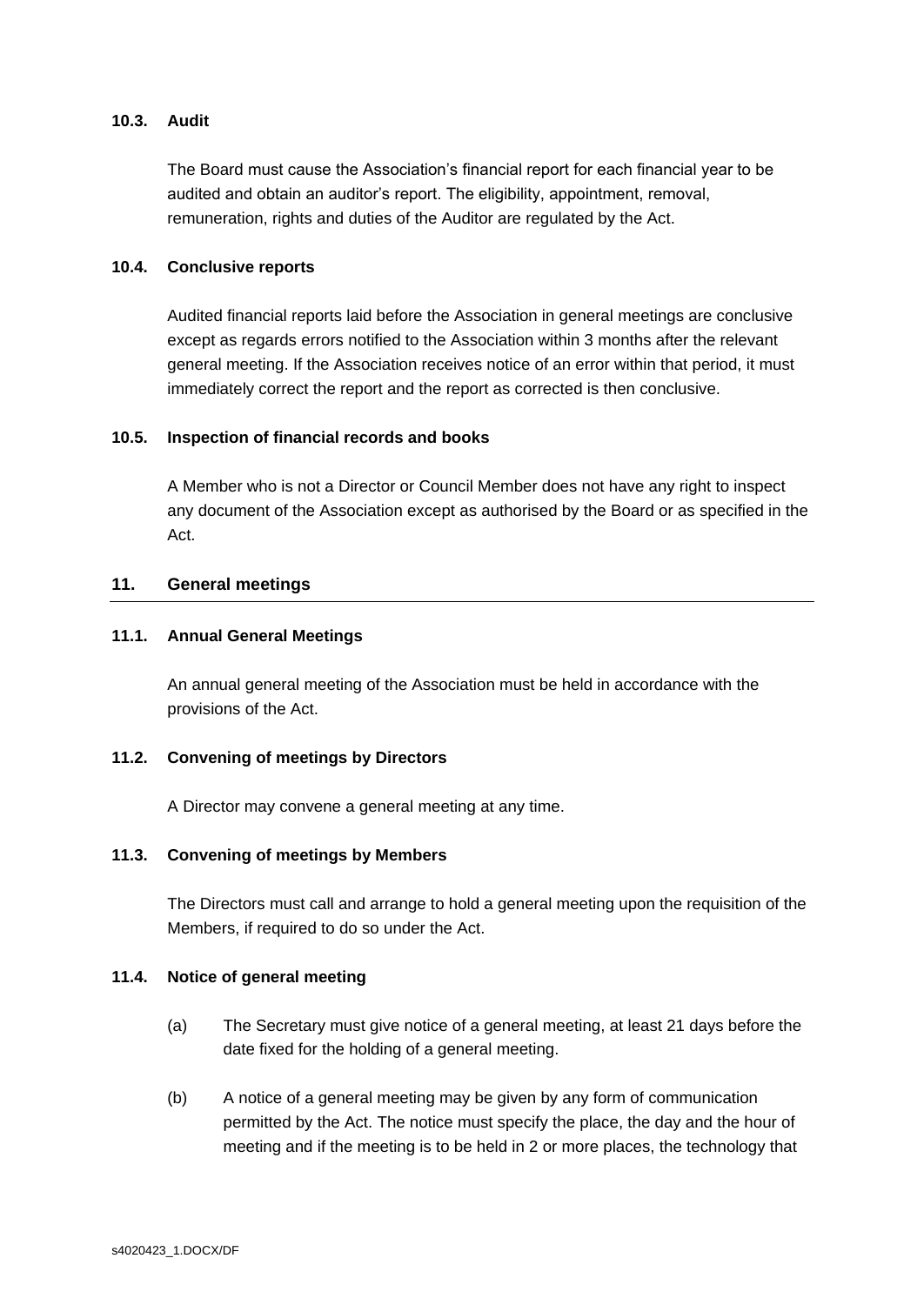# **10.3. Audit**

The Board must cause the Association's financial report for each financial year to be audited and obtain an auditor's report. The eligibility, appointment, removal, remuneration, rights and duties of the Auditor are regulated by the Act.

## **10.4. Conclusive reports**

Audited financial reports laid before the Association in general meetings are conclusive except as regards errors notified to the Association within 3 months after the relevant general meeting. If the Association receives notice of an error within that period, it must immediately correct the report and the report as corrected is then conclusive.

## **10.5. Inspection of financial records and books**

A Member who is not a Director or Council Member does not have any right to inspect any document of the Association except as authorised by the Board or as specified in the Act.

# <span id="page-11-0"></span>**11. General meetings**

## **11.1. Annual General Meetings**

An annual general meeting of the Association must be held in accordance with the provisions of the Act.

# **11.2. Convening of meetings by Directors**

A Director may convene a general meeting at any time.

#### **11.3. Convening of meetings by Members**

The Directors must call and arrange to hold a general meeting upon the requisition of the Members, if required to do so under the Act.

#### **11.4. Notice of general meeting**

- (a) The Secretary must give notice of a general meeting, at least 21 days before the date fixed for the holding of a general meeting.
- (b) A notice of a general meeting may be given by any form of communication permitted by the Act. The notice must specify the place, the day and the hour of meeting and if the meeting is to be held in 2 or more places, the technology that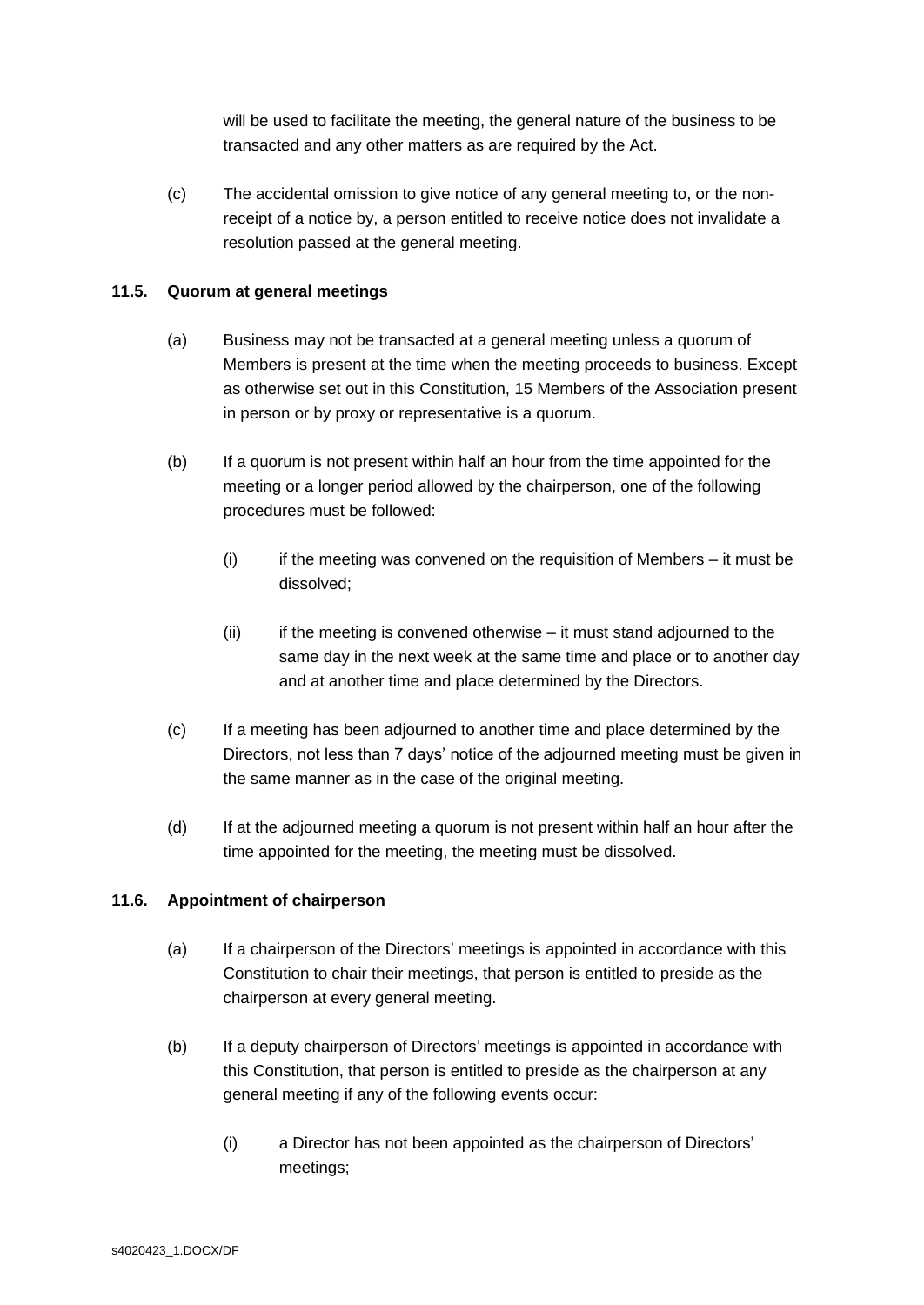will be used to facilitate the meeting, the general nature of the business to be transacted and any other matters as are required by the Act.

(c) The accidental omission to give notice of any general meeting to, or the nonreceipt of a notice by, a person entitled to receive notice does not invalidate a resolution passed at the general meeting.

# **11.5. Quorum at general meetings**

- (a) Business may not be transacted at a general meeting unless a quorum of Members is present at the time when the meeting proceeds to business. Except as otherwise set out in this Constitution, 15 Members of the Association present in person or by proxy or representative is a quorum.
- (b) If a quorum is not present within half an hour from the time appointed for the meeting or a longer period allowed by the chairperson, one of the following procedures must be followed:
	- $(i)$  if the meeting was convened on the requisition of Members it must be dissolved;
	- $(ii)$  if the meeting is convened otherwise it must stand adjourned to the same day in the next week at the same time and place or to another day and at another time and place determined by the Directors.
- (c) If a meeting has been adjourned to another time and place determined by the Directors, not less than 7 days' notice of the adjourned meeting must be given in the same manner as in the case of the original meeting.
- (d) If at the adjourned meeting a quorum is not present within half an hour after the time appointed for the meeting, the meeting must be dissolved.

# **11.6. Appointment of chairperson**

- (a) If a chairperson of the Directors' meetings is appointed in accordance with this Constitution to chair their meetings, that person is entitled to preside as the chairperson at every general meeting.
- (b) If a deputy chairperson of Directors' meetings is appointed in accordance with this Constitution, that person is entitled to preside as the chairperson at any general meeting if any of the following events occur:
	- (i) a Director has not been appointed as the chairperson of Directors' meetings;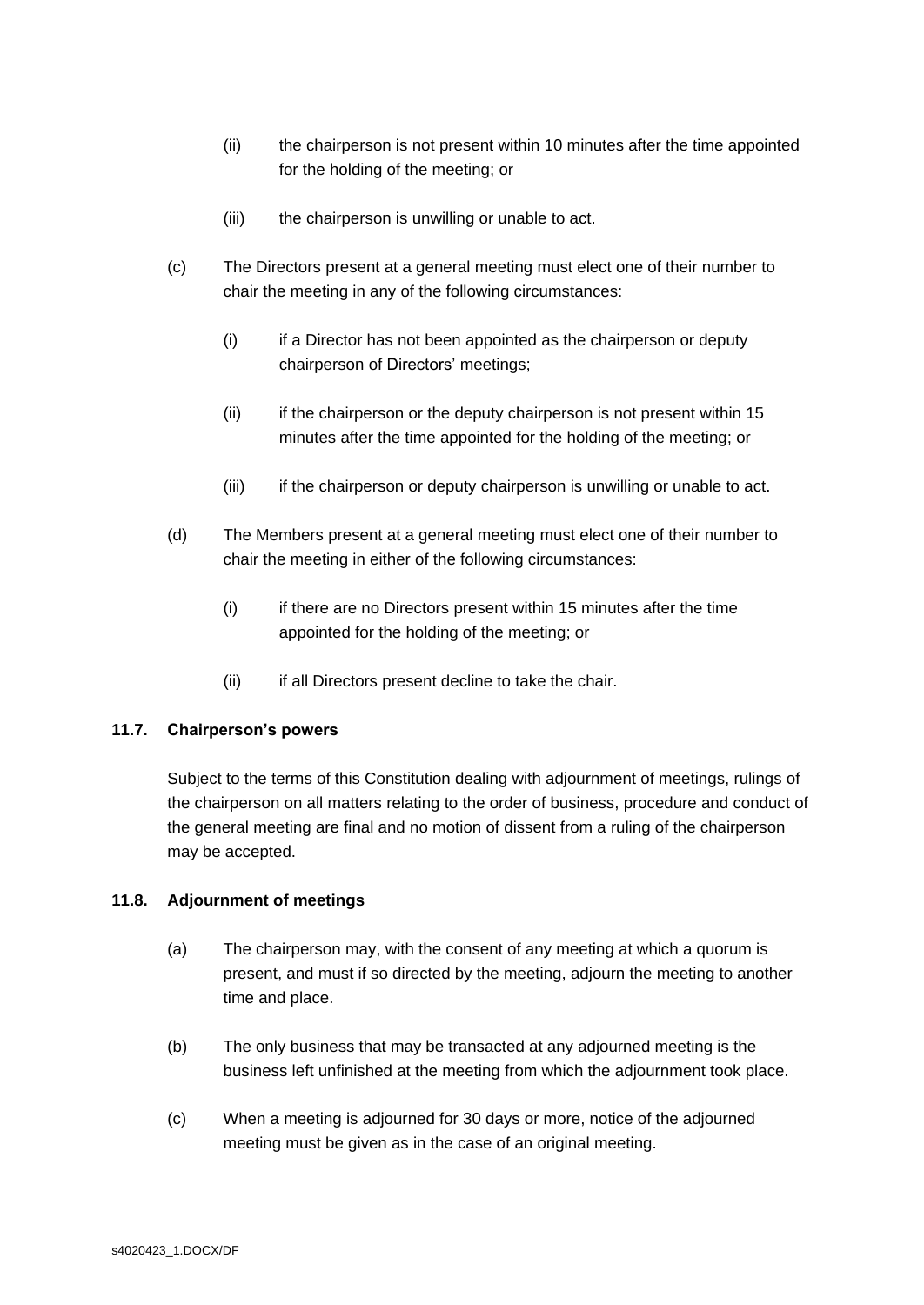- (ii) the chairperson is not present within 10 minutes after the time appointed for the holding of the meeting; or
- (iii) the chairperson is unwilling or unable to act.
- (c) The Directors present at a general meeting must elect one of their number to chair the meeting in any of the following circumstances:
	- (i) if a Director has not been appointed as the chairperson or deputy chairperson of Directors' meetings;
	- (ii) if the chairperson or the deputy chairperson is not present within 15 minutes after the time appointed for the holding of the meeting; or
	- (iii) if the chairperson or deputy chairperson is unwilling or unable to act.
- (d) The Members present at a general meeting must elect one of their number to chair the meeting in either of the following circumstances:
	- (i) if there are no Directors present within 15 minutes after the time appointed for the holding of the meeting; or
	- (ii) if all Directors present decline to take the chair.

#### **11.7. Chairperson's powers**

Subject to the terms of this Constitution dealing with adjournment of meetings, rulings of the chairperson on all matters relating to the order of business, procedure and conduct of the general meeting are final and no motion of dissent from a ruling of the chairperson may be accepted.

#### **11.8. Adjournment of meetings**

- (a) The chairperson may, with the consent of any meeting at which a quorum is present, and must if so directed by the meeting, adjourn the meeting to another time and place.
- (b) The only business that may be transacted at any adjourned meeting is the business left unfinished at the meeting from which the adjournment took place.
- (c) When a meeting is adjourned for 30 days or more, notice of the adjourned meeting must be given as in the case of an original meeting.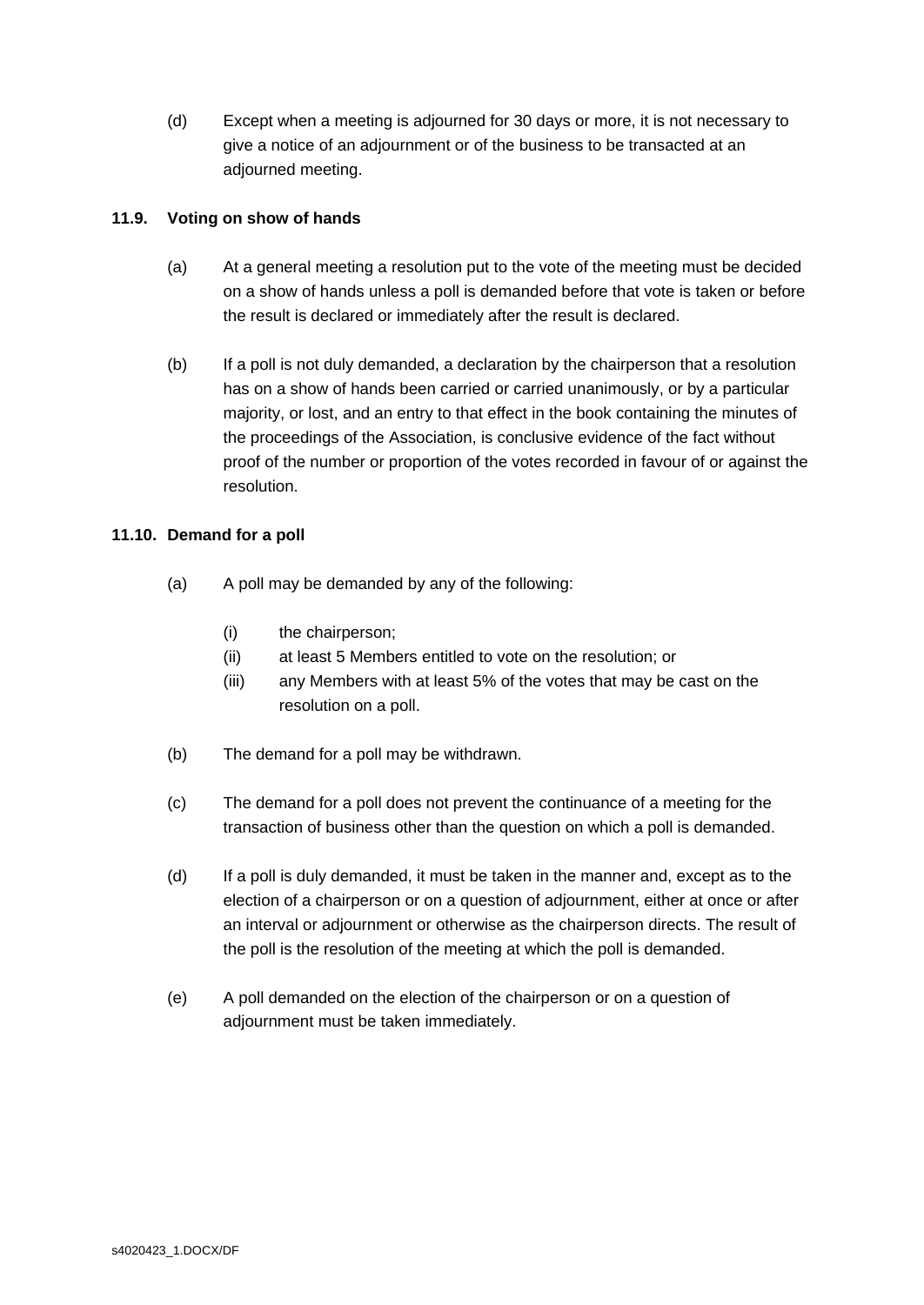(d) Except when a meeting is adjourned for 30 days or more, it is not necessary to give a notice of an adjournment or of the business to be transacted at an adjourned meeting.

# **11.9. Voting on show of hands**

- (a) At a general meeting a resolution put to the vote of the meeting must be decided on a show of hands unless a poll is demanded before that vote is taken or before the result is declared or immediately after the result is declared.
- (b) If a poll is not duly demanded, a declaration by the chairperson that a resolution has on a show of hands been carried or carried unanimously, or by a particular majority, or lost, and an entry to that effect in the book containing the minutes of the proceedings of the Association, is conclusive evidence of the fact without proof of the number or proportion of the votes recorded in favour of or against the resolution.

# **11.10. Demand for a poll**

- (a) A poll may be demanded by any of the following:
	- (i) the chairperson;
	- (ii) at least 5 Members entitled to vote on the resolution; or
	- (iii) any Members with at least 5% of the votes that may be cast on the resolution on a poll.
- (b) The demand for a poll may be withdrawn.
- (c) The demand for a poll does not prevent the continuance of a meeting for the transaction of business other than the question on which a poll is demanded.
- (d) If a poll is duly demanded, it must be taken in the manner and, except as to the election of a chairperson or on a question of adjournment, either at once or after an interval or adjournment or otherwise as the chairperson directs. The result of the poll is the resolution of the meeting at which the poll is demanded.
- (e) A poll demanded on the election of the chairperson or on a question of adjournment must be taken immediately.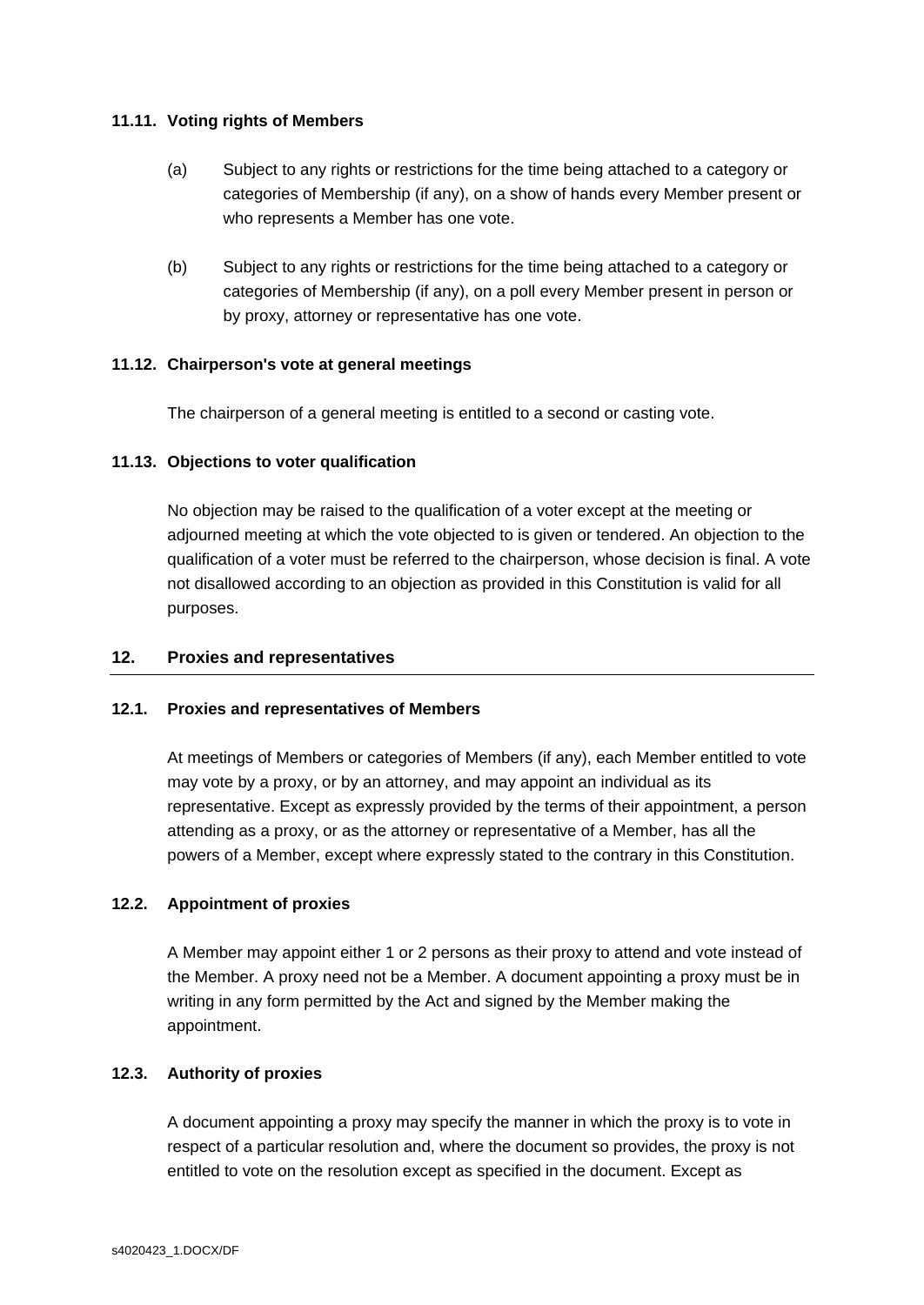# **11.11. Voting rights of Members**

- (a) Subject to any rights or restrictions for the time being attached to a category or categories of Membership (if any), on a show of hands every Member present or who represents a Member has one vote.
- (b) Subject to any rights or restrictions for the time being attached to a category or categories of Membership (if any), on a poll every Member present in person or by proxy, attorney or representative has one vote.

## **11.12. Chairperson's vote at general meetings**

The chairperson of a general meeting is entitled to a second or casting vote.

## **11.13. Objections to voter qualification**

No objection may be raised to the qualification of a voter except at the meeting or adjourned meeting at which the vote objected to is given or tendered. An objection to the qualification of a voter must be referred to the chairperson, whose decision is final. A vote not disallowed according to an objection as provided in this Constitution is valid for all purposes.

# <span id="page-15-0"></span>**12. Proxies and representatives**

#### **12.1. Proxies and representatives of Members**

At meetings of Members or categories of Members (if any), each Member entitled to vote may vote by a proxy, or by an attorney, and may appoint an individual as its representative. Except as expressly provided by the terms of their appointment, a person attending as a proxy, or as the attorney or representative of a Member, has all the powers of a Member, except where expressly stated to the contrary in this Constitution.

# **12.2. Appointment of proxies**

A Member may appoint either 1 or 2 persons as their proxy to attend and vote instead of the Member. A proxy need not be a Member. A document appointing a proxy must be in writing in any form permitted by the Act and signed by the Member making the appointment.

#### **12.3. Authority of proxies**

A document appointing a proxy may specify the manner in which the proxy is to vote in respect of a particular resolution and, where the document so provides, the proxy is not entitled to vote on the resolution except as specified in the document. Except as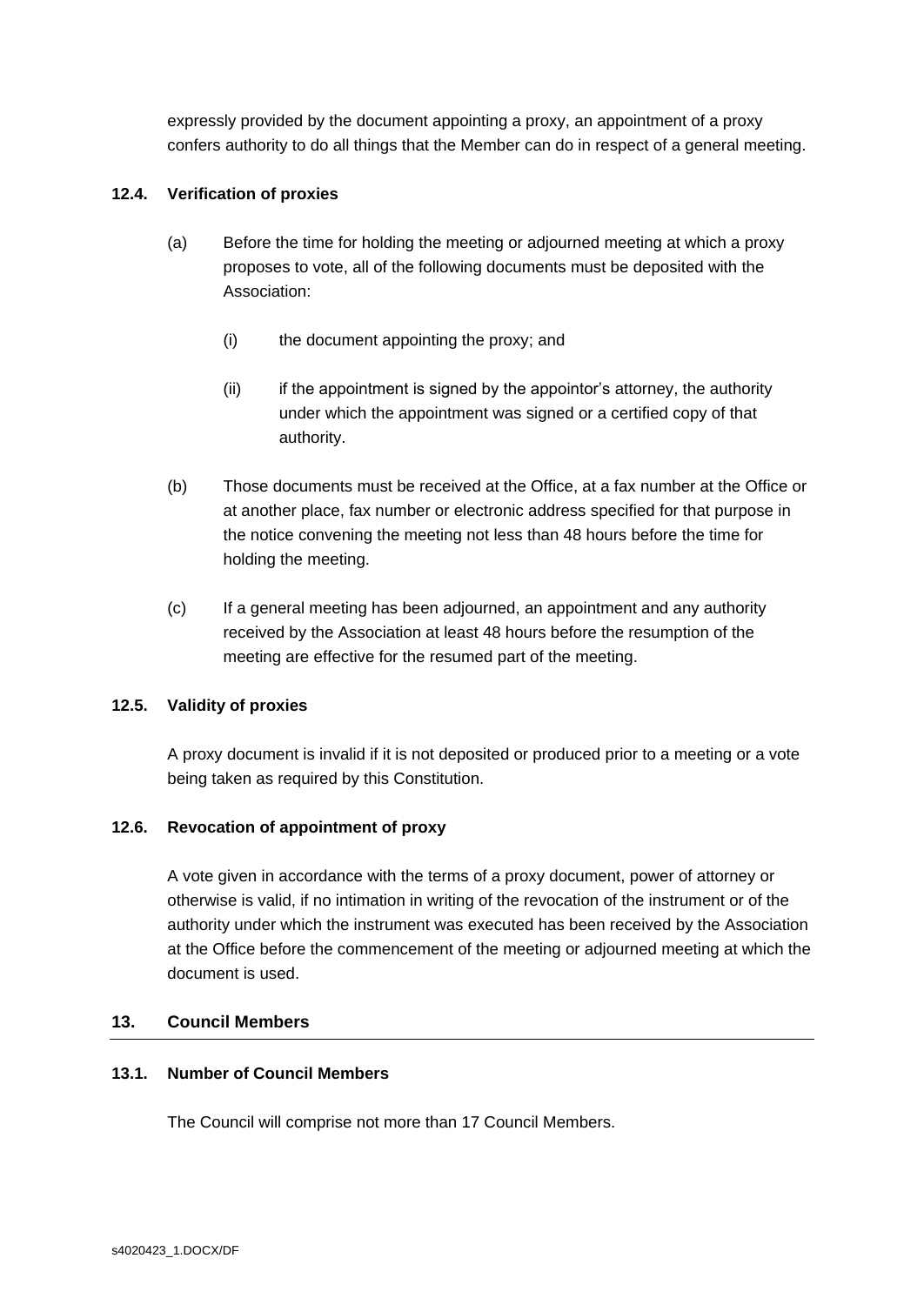expressly provided by the document appointing a proxy, an appointment of a proxy confers authority to do all things that the Member can do in respect of a general meeting.

# **12.4. Verification of proxies**

- (a) Before the time for holding the meeting or adjourned meeting at which a proxy proposes to vote, all of the following documents must be deposited with the Association:
	- (i) the document appointing the proxy; and
	- (ii) if the appointment is signed by the appointor's attorney, the authority under which the appointment was signed or a certified copy of that authority.
- (b) Those documents must be received at the Office, at a fax number at the Office or at another place, fax number or electronic address specified for that purpose in the notice convening the meeting not less than 48 hours before the time for holding the meeting.
- (c) If a general meeting has been adjourned, an appointment and any authority received by the Association at least 48 hours before the resumption of the meeting are effective for the resumed part of the meeting.

# **12.5. Validity of proxies**

A proxy document is invalid if it is not deposited or produced prior to a meeting or a vote being taken as required by this Constitution.

# **12.6. Revocation of appointment of proxy**

A vote given in accordance with the terms of a proxy document, power of attorney or otherwise is valid, if no intimation in writing of the revocation of the instrument or of the authority under which the instrument was executed has been received by the Association at the Office before the commencement of the meeting or adjourned meeting at which the document is used.

# <span id="page-16-0"></span>**13. Council Members**

# **13.1. Number of Council Members**

The Council will comprise not more than 17 Council Members.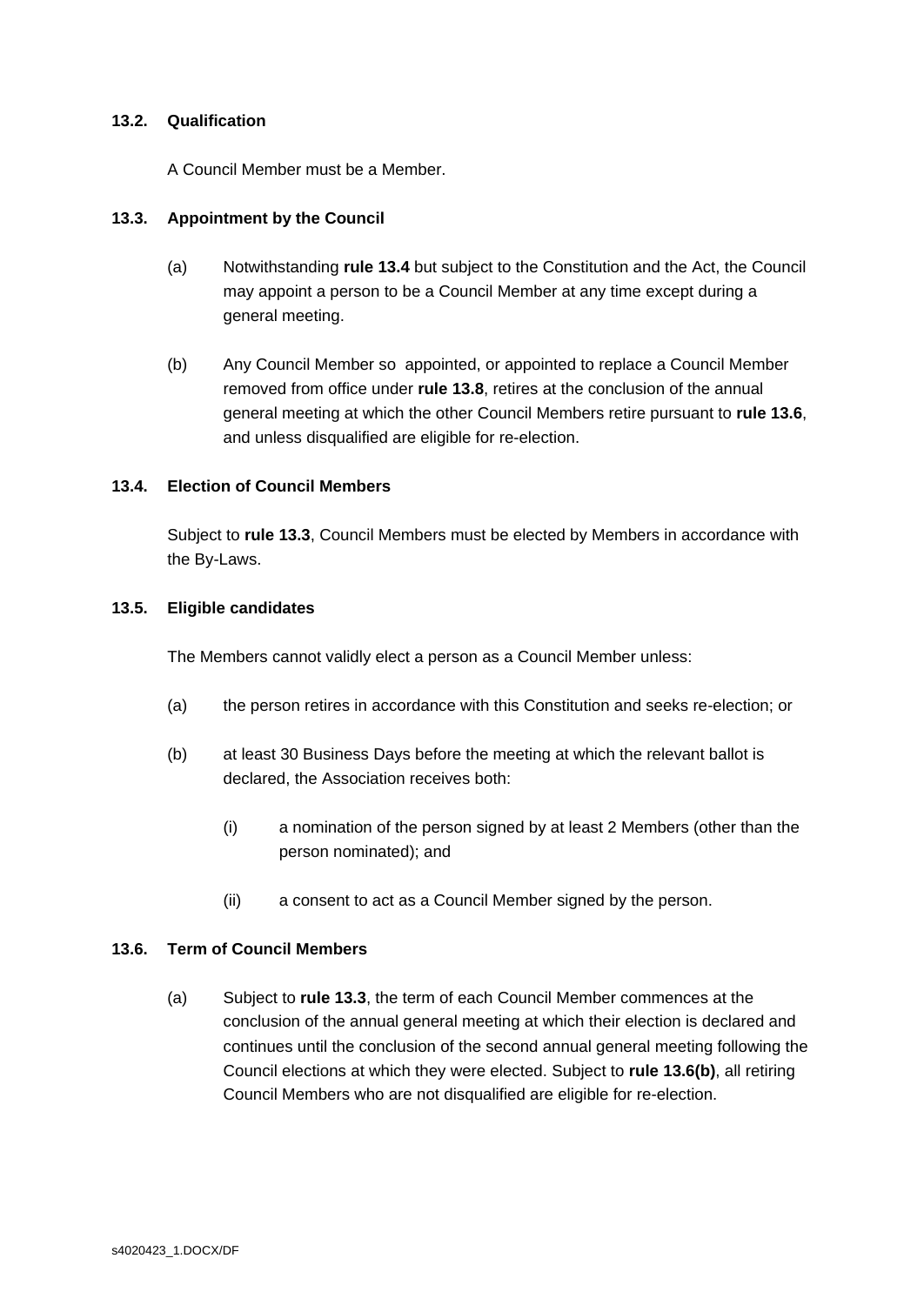## **13.2. Qualification**

A Council Member must be a Member.

## <span id="page-17-2"></span>**13.3. Appointment by the Council**

- (a) Notwithstanding **rule [13.4](#page-17-1)** but subject to the Constitution and the Act, the Council may appoint a person to be a Council Member at any time except during a general meeting.
- (b) Any Council Member so appointed, or appointed to replace a Council Member removed from office under **rule [13.8](#page-18-0)**, retires at the conclusion of the annual general meeting at which the other Council Members retire pursuant to **rule [13.6](#page-17-0)**, and unless disqualified are eligible for re-election.

## <span id="page-17-1"></span>**13.4. Election of Council Members**

Subject to **rule [13.3](#page-17-2)**, Council Members must be elected by Members in accordance with the By-Laws.

## **13.5. Eligible candidates**

The Members cannot validly elect a person as a Council Member unless:

- (a) the person retires in accordance with this Constitution and seeks re-election; or
- (b) at least 30 Business Days before the meeting at which the relevant ballot is declared, the Association receives both:
	- (i) a nomination of the person signed by at least 2 Members (other than the person nominated); and
	- (ii) a consent to act as a Council Member signed by the person.

#### <span id="page-17-0"></span>**13.6. Term of Council Members**

(a) Subject to **rule [13.3](#page-17-2)**, the term of each Council Member commences at the conclusion of the annual general meeting at which their election is declared and continues until the conclusion of the second annual general meeting following the Council elections at which they were elected. Subject to **rule [13.6\(b\)](#page-17-0)**, all retiring Council Members who are not disqualified are eligible for re-election.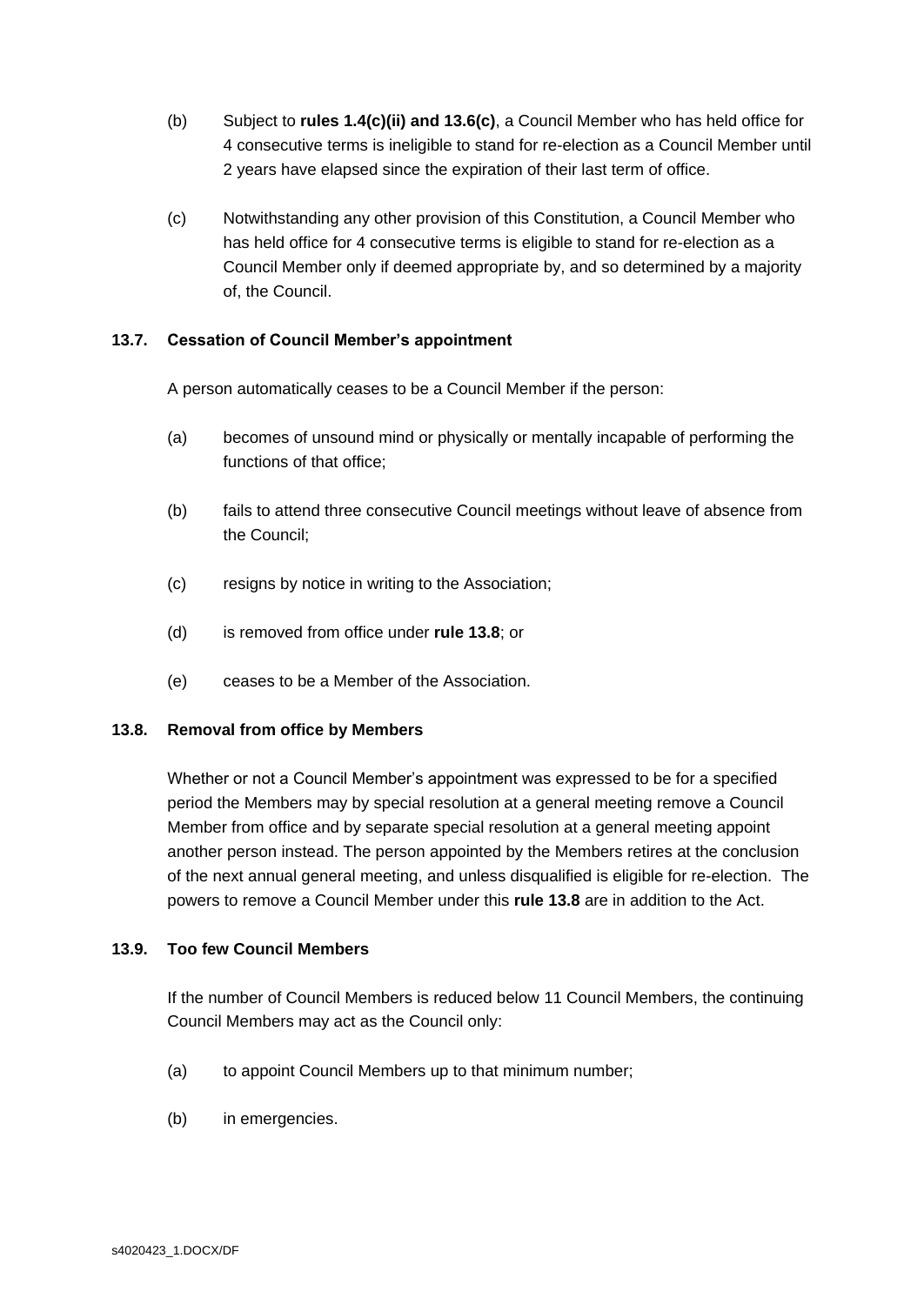- (b) Subject to **rules [1.4\(c\)\(ii\)](#page-4-1) and [13.6\(c\)](#page-18-1)**, a Council Member who has held office for 4 consecutive terms is ineligible to stand for re-election as a Council Member until 2 years have elapsed since the expiration of their last term of office.
- <span id="page-18-1"></span>(c) Notwithstanding any other provision of this Constitution, a Council Member who has held office for 4 consecutive terms is eligible to stand for re-election as a Council Member only if deemed appropriate by, and so determined by a majority of, the Council.

# **13.7. Cessation of Council Member's appointment**

A person automatically ceases to be a Council Member if the person:

- (a) becomes of unsound mind or physically or mentally incapable of performing the functions of that office;
- (b) fails to attend three consecutive Council meetings without leave of absence from the Council;
- (c) resigns by notice in writing to the Association;
- (d) is removed from office under **rule [13.8](#page-18-0)**; or
- (e) ceases to be a Member of the Association.

#### <span id="page-18-0"></span>**13.8. Removal from office by Members**

Whether or not a Council Member's appointment was expressed to be for a specified period the Members may by special resolution at a general meeting remove a Council Member from office and by separate special resolution at a general meeting appoint another person instead. The person appointed by the Members retires at the conclusion of the next annual general meeting, and unless disqualified is eligible for re-election. The powers to remove a Council Member under this **rule [13.8](#page-18-0)** are in addition to the Act.

#### **13.9. Too few Council Members**

If the number of Council Members is reduced below 11 Council Members, the continuing Council Members may act as the Council only:

- (a) to appoint Council Members up to that minimum number;
- (b) in emergencies.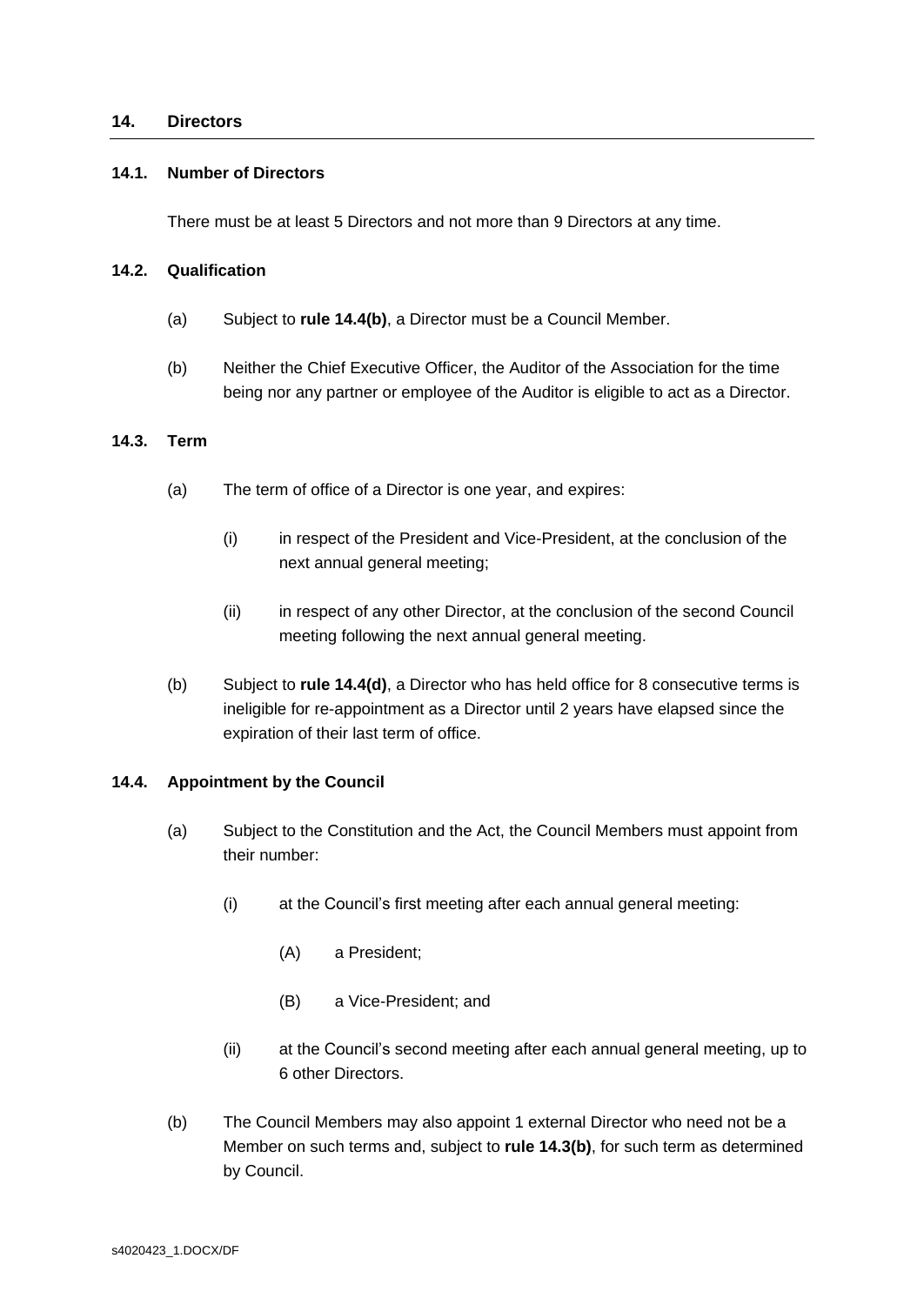#### <span id="page-19-0"></span>**14. Directors**

#### <span id="page-19-3"></span>**14.1. Number of Directors**

There must be at least 5 Directors and not more than 9 Directors at any time.

#### **14.2. Qualification**

- (a) Subject to **rule [14.4\(b\)](#page-19-1)**, a Director must be a Council Member.
- (b) Neither the Chief Executive Officer, the Auditor of the Association for the time being nor any partner or employee of the Auditor is eligible to act as a Director.

#### **14.3. Term**

- (a) The term of office of a Director is one year, and expires:
	- (i) in respect of the President and Vice-President, at the conclusion of the next annual general meeting;
	- (ii) in respect of any other Director, at the conclusion of the second Council meeting following the next annual general meeting.
- <span id="page-19-2"></span>(b) Subject to **rule [14.4\(d\)](#page-20-0)**, a Director who has held office for 8 consecutive terms is ineligible for re-appointment as a Director until 2 years have elapsed since the expiration of their last term of office.

#### <span id="page-19-4"></span>**14.4. Appointment by the Council**

- (a) Subject to the Constitution and the Act, the Council Members must appoint from their number:
	- (i) at the Council's first meeting after each annual general meeting:
		- (A) a President;
		- (B) a Vice-President; and
	- (ii) at the Council's second meeting after each annual general meeting, up to 6 other Directors.
- <span id="page-19-1"></span>(b) The Council Members may also appoint 1 external Director who need not be a Member on such terms and, subject to **rule [14.3\(b\)](#page-19-2)**, for such term as determined by Council.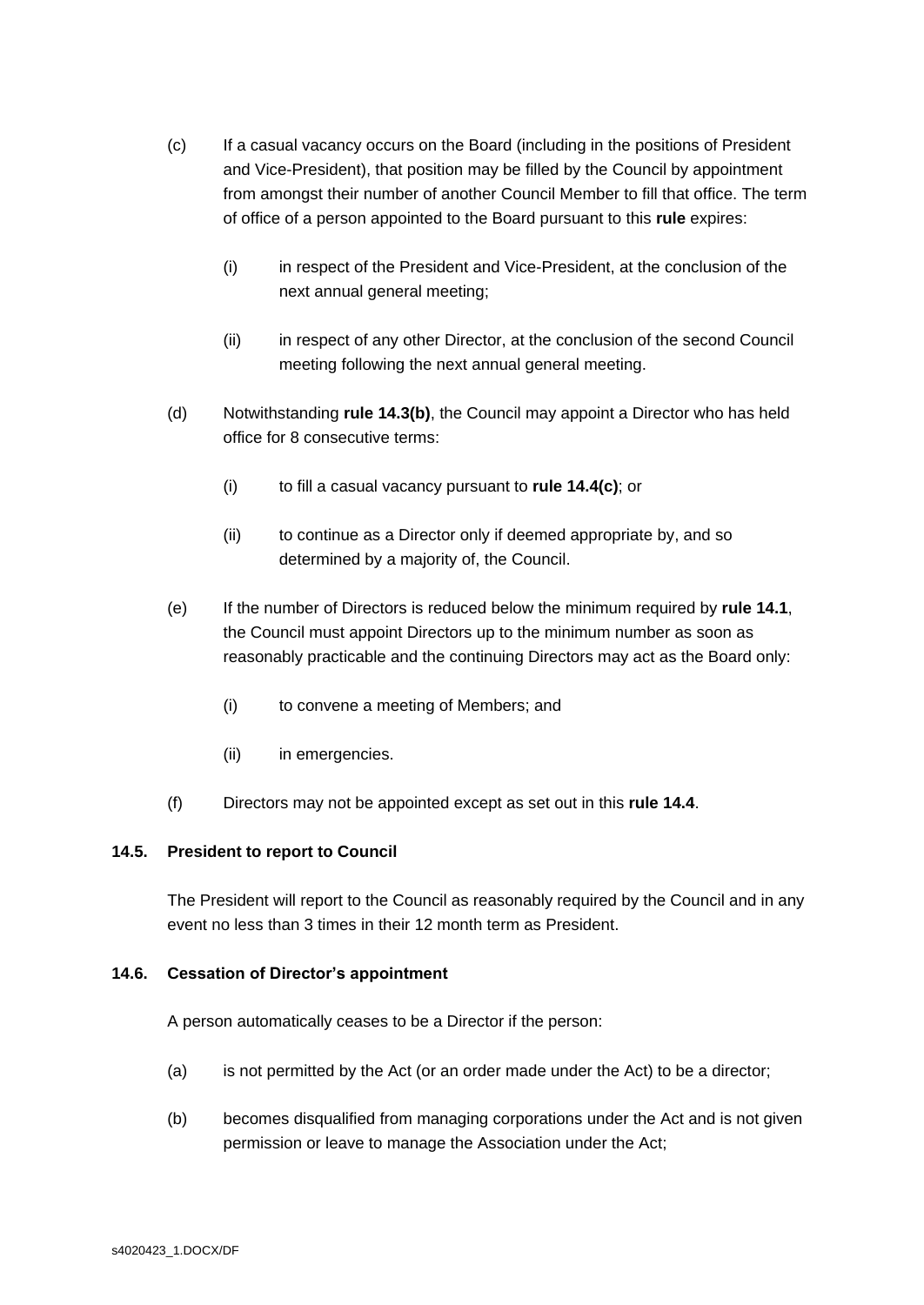- <span id="page-20-1"></span>(c) If a casual vacancy occurs on the Board (including in the positions of President and Vice-President), that position may be filled by the Council by appointment from amongst their number of another Council Member to fill that office. The term of office of a person appointed to the Board pursuant to this **rule** expires:
	- (i) in respect of the President and Vice-President, at the conclusion of the next annual general meeting;
	- (ii) in respect of any other Director, at the conclusion of the second Council meeting following the next annual general meeting.
- <span id="page-20-0"></span>(d) Notwithstanding **rule [14.3\(b\)](#page-19-2)**, the Council may appoint a Director who has held office for 8 consecutive terms:
	- (i) to fill a casual vacancy pursuant to **rule [14.4\(c\)](#page-20-1)**; or
	- (ii) to continue as a Director only if deemed appropriate by, and so determined by a majority of, the Council.
- (e) If the number of Directors is reduced below the minimum required by **rule [14.1](#page-19-3)**, the Council must appoint Directors up to the minimum number as soon as reasonably practicable and the continuing Directors may act as the Board only:
	- (i) to convene a meeting of Members; and
	- (ii) in emergencies.
- (f) Directors may not be appointed except as set out in this **rule [14.4](#page-19-4)**.

# **14.5. President to report to Council**

The President will report to the Council as reasonably required by the Council and in any event no less than 3 times in their 12 month term as President.

# **14.6. Cessation of Director's appointment**

A person automatically ceases to be a Director if the person:

- (a) is not permitted by the Act (or an order made under the Act) to be a director;
- (b) becomes disqualified from managing corporations under the Act and is not given permission or leave to manage the Association under the Act;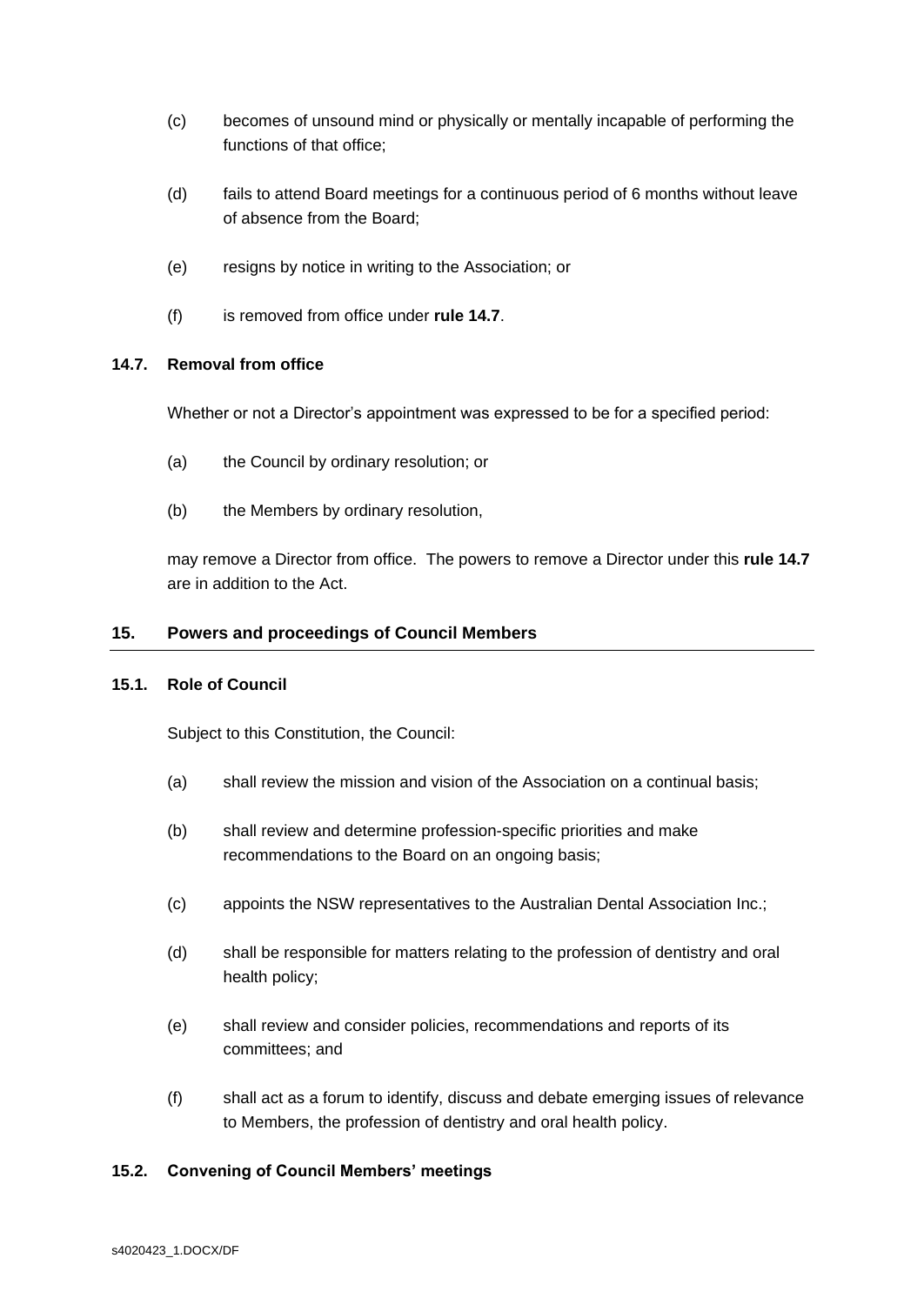- (c) becomes of unsound mind or physically or mentally incapable of performing the functions of that office;
- (d) fails to attend Board meetings for a continuous period of 6 months without leave of absence from the Board;
- (e) resigns by notice in writing to the Association; or
- (f) is removed from office under **rule [14.7](#page-21-1)**.

# <span id="page-21-1"></span>**14.7. Removal from office**

Whether or not a Director's appointment was expressed to be for a specified period:

- (a) the Council by ordinary resolution; or
- (b) the Members by ordinary resolution,

may remove a Director from office. The powers to remove a Director under this **rule [14.7](#page-21-1)** are in addition to the Act.

#### <span id="page-21-0"></span>**15. Powers and proceedings of Council Members**

#### **15.1. Role of Council**

Subject to this Constitution, the Council:

- (a) shall review the mission and vision of the Association on a continual basis;
- (b) shall review and determine profession-specific priorities and make recommendations to the Board on an ongoing basis;
- (c) appoints the NSW representatives to the Australian Dental Association Inc.;
- (d) shall be responsible for matters relating to the profession of dentistry and oral health policy;
- (e) shall review and consider policies, recommendations and reports of its committees; and
- (f) shall act as a forum to identify, discuss and debate emerging issues of relevance to Members, the profession of dentistry and oral health policy.

#### **15.2. Convening of Council Members' meetings**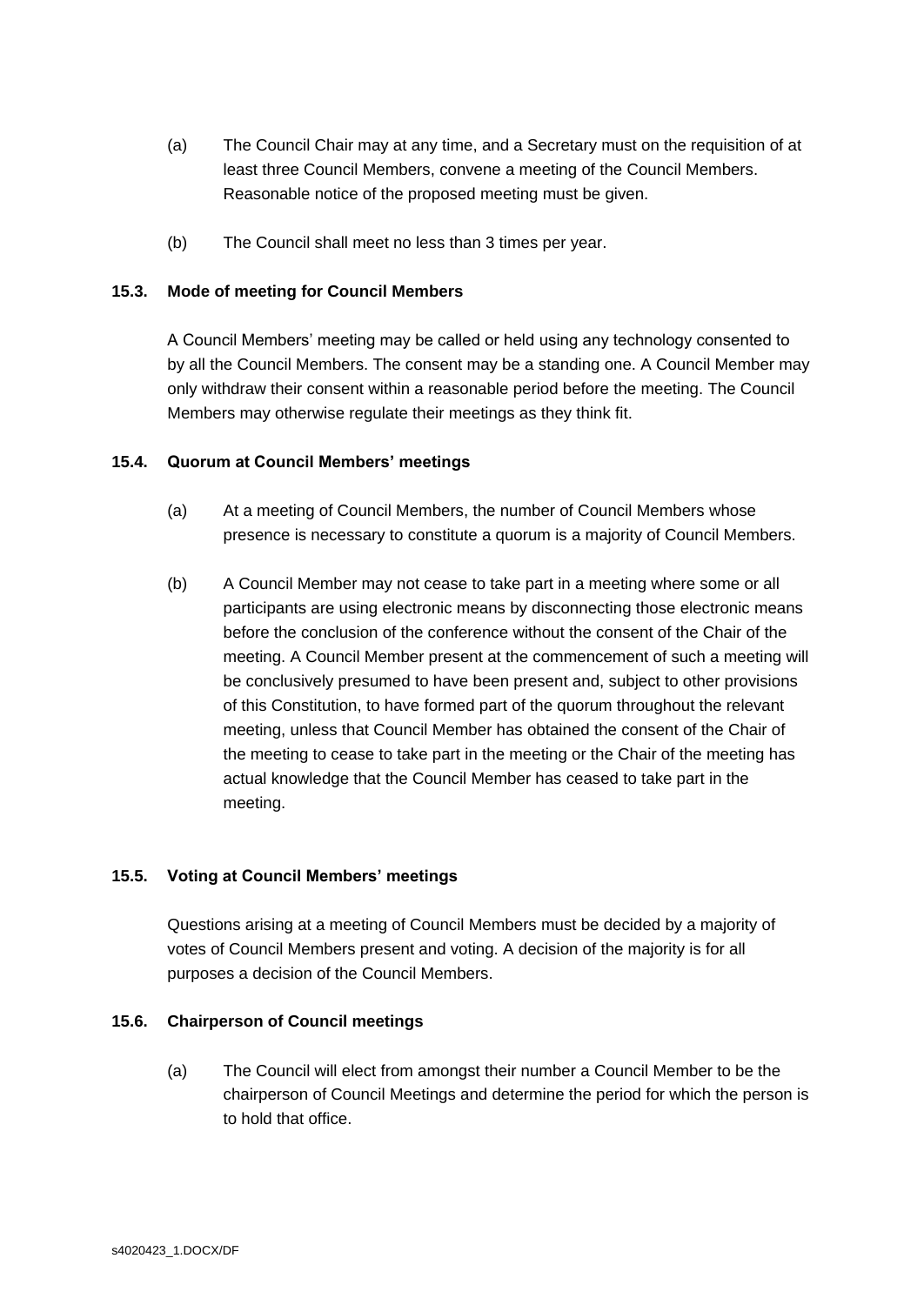- (a) The Council Chair may at any time, and a Secretary must on the requisition of at least three Council Members, convene a meeting of the Council Members. Reasonable notice of the proposed meeting must be given.
- (b) The Council shall meet no less than 3 times per year.

# **15.3. Mode of meeting for Council Members**

A Council Members' meeting may be called or held using any technology consented to by all the Council Members. The consent may be a standing one. A Council Member may only withdraw their consent within a reasonable period before the meeting. The Council Members may otherwise regulate their meetings as they think fit.

## **15.4. Quorum at Council Members' meetings**

- (a) At a meeting of Council Members, the number of Council Members whose presence is necessary to constitute a quorum is a majority of Council Members.
- (b) A Council Member may not cease to take part in a meeting where some or all participants are using electronic means by disconnecting those electronic means before the conclusion of the conference without the consent of the Chair of the meeting. A Council Member present at the commencement of such a meeting will be conclusively presumed to have been present and, subject to other provisions of this Constitution, to have formed part of the quorum throughout the relevant meeting, unless that Council Member has obtained the consent of the Chair of the meeting to cease to take part in the meeting or the Chair of the meeting has actual knowledge that the Council Member has ceased to take part in the meeting.

# **15.5. Voting at Council Members' meetings**

Questions arising at a meeting of Council Members must be decided by a majority of votes of Council Members present and voting. A decision of the majority is for all purposes a decision of the Council Members.

#### <span id="page-22-0"></span>**15.6. Chairperson of Council meetings**

(a) The Council will elect from amongst their number a Council Member to be the chairperson of Council Meetings and determine the period for which the person is to hold that office.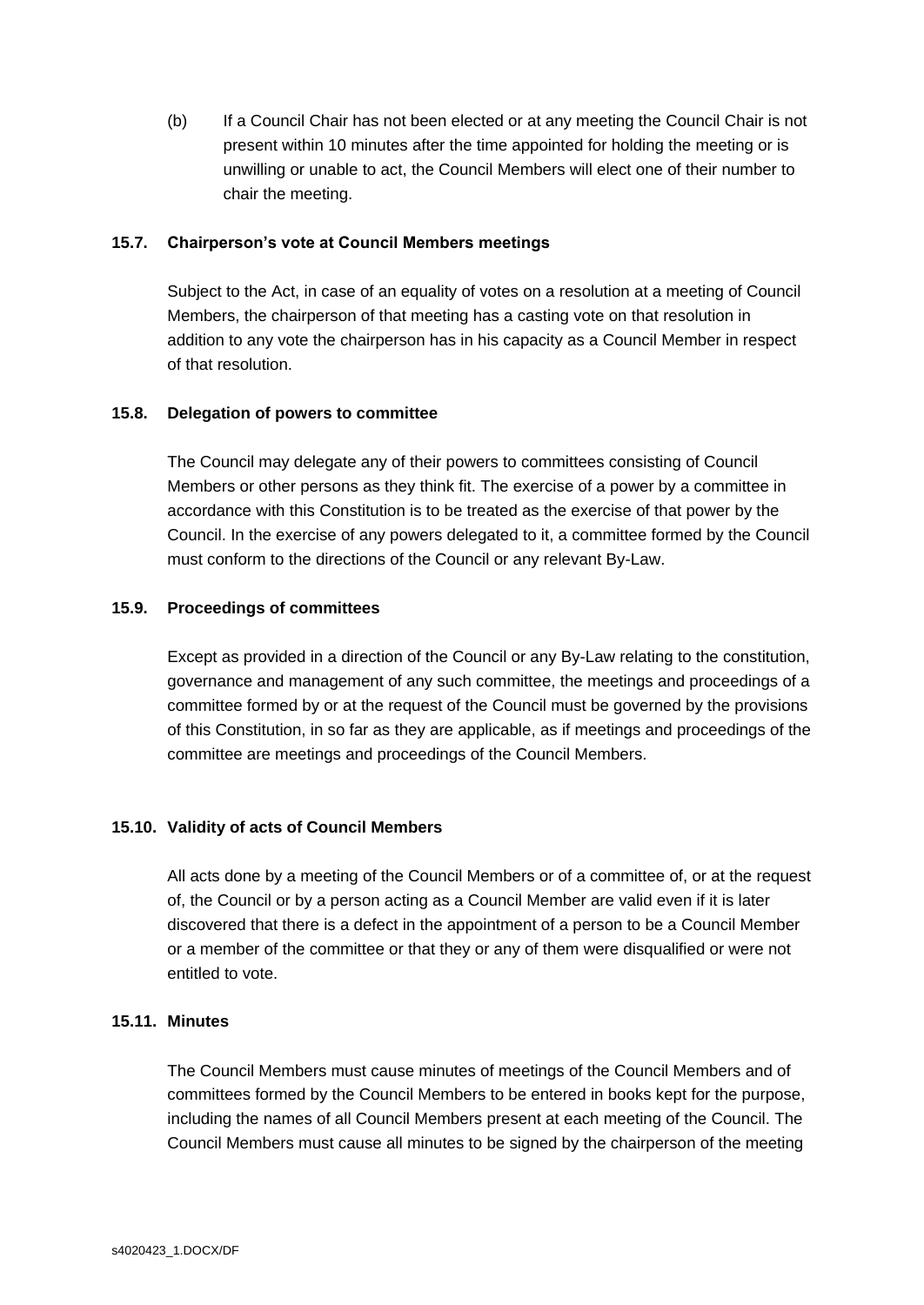(b) If a Council Chair has not been elected or at any meeting the Council Chair is not present within 10 minutes after the time appointed for holding the meeting or is unwilling or unable to act, the Council Members will elect one of their number to chair the meeting.

## **15.7. Chairperson's vote at Council Members meetings**

Subject to the Act, in case of an equality of votes on a resolution at a meeting of Council Members, the chairperson of that meeting has a casting vote on that resolution in addition to any vote the chairperson has in his capacity as a Council Member in respect of that resolution.

## **15.8. Delegation of powers to committee**

The Council may delegate any of their powers to committees consisting of Council Members or other persons as they think fit. The exercise of a power by a committee in accordance with this Constitution is to be treated as the exercise of that power by the Council. In the exercise of any powers delegated to it, a committee formed by the Council must conform to the directions of the Council or any relevant By-Law.

## **15.9. Proceedings of committees**

Except as provided in a direction of the Council or any By-Law relating to the constitution, governance and management of any such committee, the meetings and proceedings of a committee formed by or at the request of the Council must be governed by the provisions of this Constitution, in so far as they are applicable, as if meetings and proceedings of the committee are meetings and proceedings of the Council Members.

# **15.10. Validity of acts of Council Members**

All acts done by a meeting of the Council Members or of a committee of, or at the request of, the Council or by a person acting as a Council Member are valid even if it is later discovered that there is a defect in the appointment of a person to be a Council Member or a member of the committee or that they or any of them were disqualified or were not entitled to vote.

#### **15.11. Minutes**

The Council Members must cause minutes of meetings of the Council Members and of committees formed by the Council Members to be entered in books kept for the purpose, including the names of all Council Members present at each meeting of the Council. The Council Members must cause all minutes to be signed by the chairperson of the meeting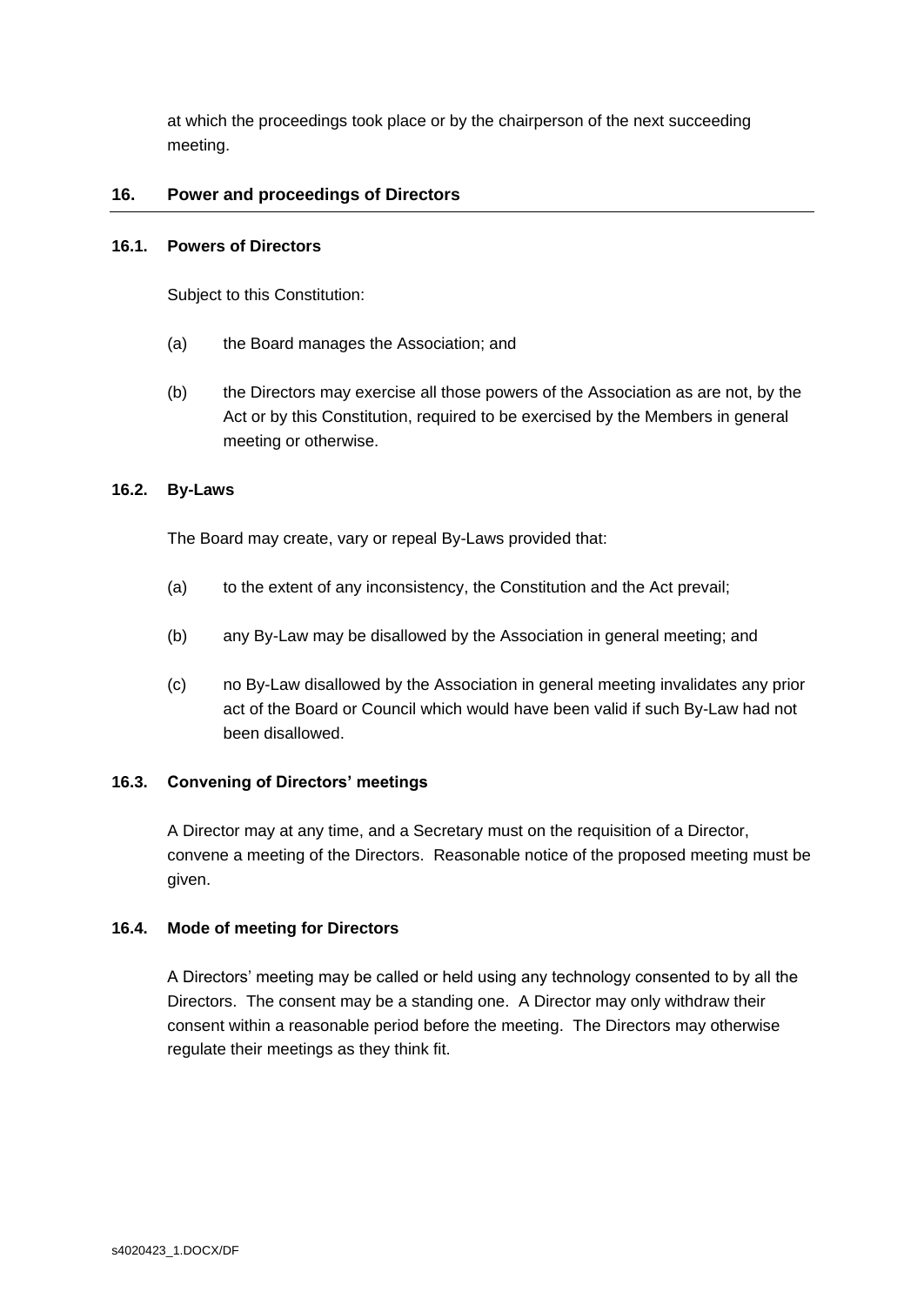at which the proceedings took place or by the chairperson of the next succeeding meeting.

# <span id="page-24-0"></span>**16. Power and proceedings of Directors**

# **16.1. Powers of Directors**

Subject to this Constitution:

- (a) the Board manages the Association; and
- (b) the Directors may exercise all those powers of the Association as are not, by the Act or by this Constitution, required to be exercised by the Members in general meeting or otherwise.

# **16.2. By-Laws**

The Board may create, vary or repeal By-Laws provided that:

- (a) to the extent of any inconsistency, the Constitution and the Act prevail;
- (b) any By-Law may be disallowed by the Association in general meeting; and
- (c) no By-Law disallowed by the Association in general meeting invalidates any prior act of the Board or Council which would have been valid if such By-Law had not been disallowed.

# **16.3. Convening of Directors' meetings**

A Director may at any time, and a Secretary must on the requisition of a Director, convene a meeting of the Directors. Reasonable notice of the proposed meeting must be given.

# **16.4. Mode of meeting for Directors**

A Directors' meeting may be called or held using any technology consented to by all the Directors. The consent may be a standing one. A Director may only withdraw their consent within a reasonable period before the meeting. The Directors may otherwise regulate their meetings as they think fit.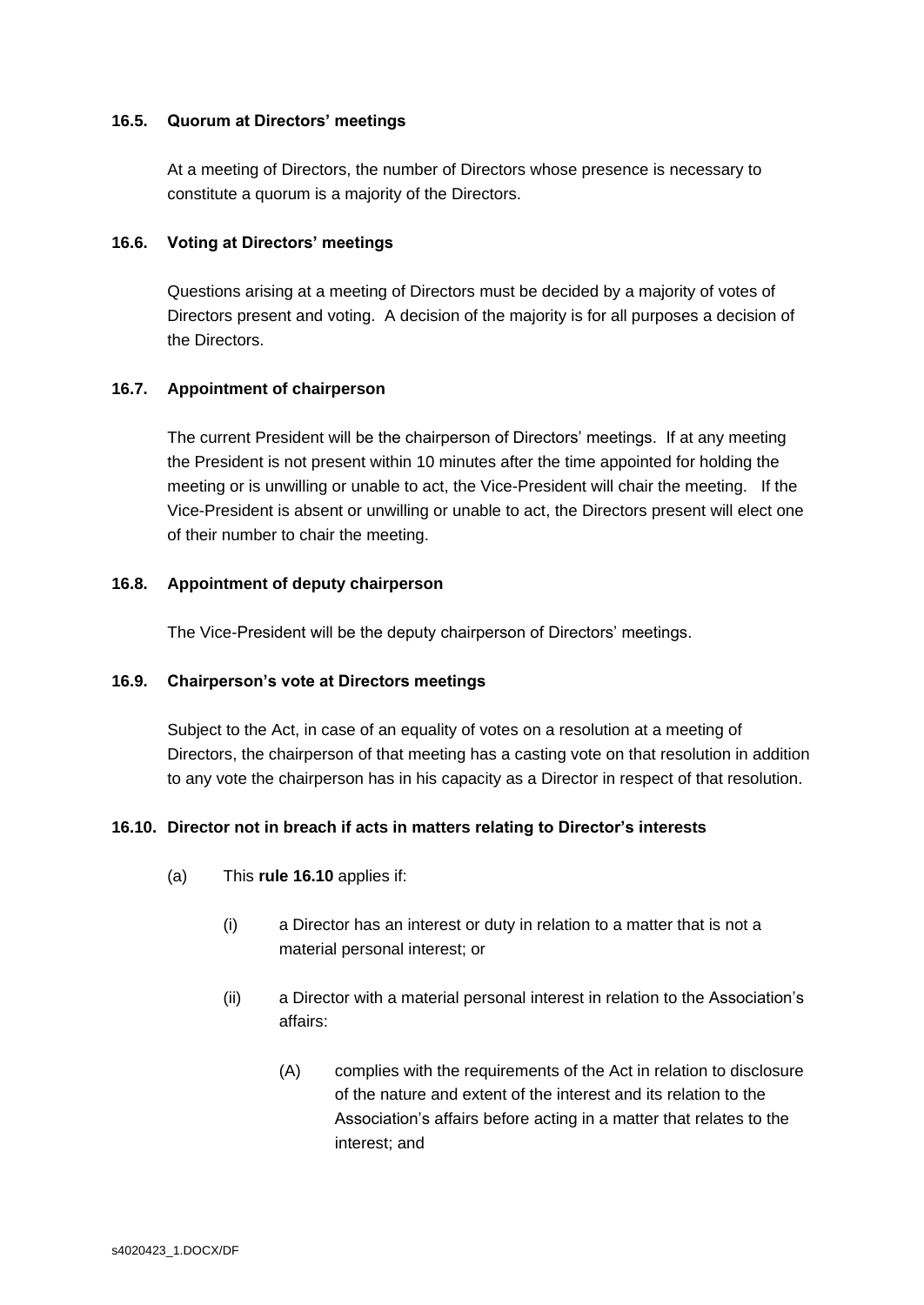#### **16.5. Quorum at Directors' meetings**

At a meeting of Directors, the number of Directors whose presence is necessary to constitute a quorum is a majority of the Directors.

#### **16.6. Voting at Directors' meetings**

Questions arising at a meeting of Directors must be decided by a majority of votes of Directors present and voting. A decision of the majority is for all purposes a decision of the Directors.

## **16.7. Appointment of chairperson**

The current President will be the chairperson of Directors' meetings. If at any meeting the President is not present within 10 minutes after the time appointed for holding the meeting or is unwilling or unable to act, the Vice-President will chair the meeting. If the Vice-President is absent or unwilling or unable to act, the Directors present will elect one of their number to chair the meeting.

## **16.8. Appointment of deputy chairperson**

The Vice-President will be the deputy chairperson of Directors' meetings.

#### **16.9. Chairperson's vote at Directors meetings**

Subject to the Act, in case of an equality of votes on a resolution at a meeting of Directors, the chairperson of that meeting has a casting vote on that resolution in addition to any vote the chairperson has in his capacity as a Director in respect of that resolution.

# <span id="page-25-0"></span>**16.10. Director not in breach if acts in matters relating to Director's interests**

- (a) This **rule [16.10](#page-25-0)** applies if:
	- (i) a Director has an interest or duty in relation to a matter that is not a material personal interest; or
	- (ii) a Director with a material personal interest in relation to the Association's affairs:
		- (A) complies with the requirements of the Act in relation to disclosure of the nature and extent of the interest and its relation to the Association's affairs before acting in a matter that relates to the interest; and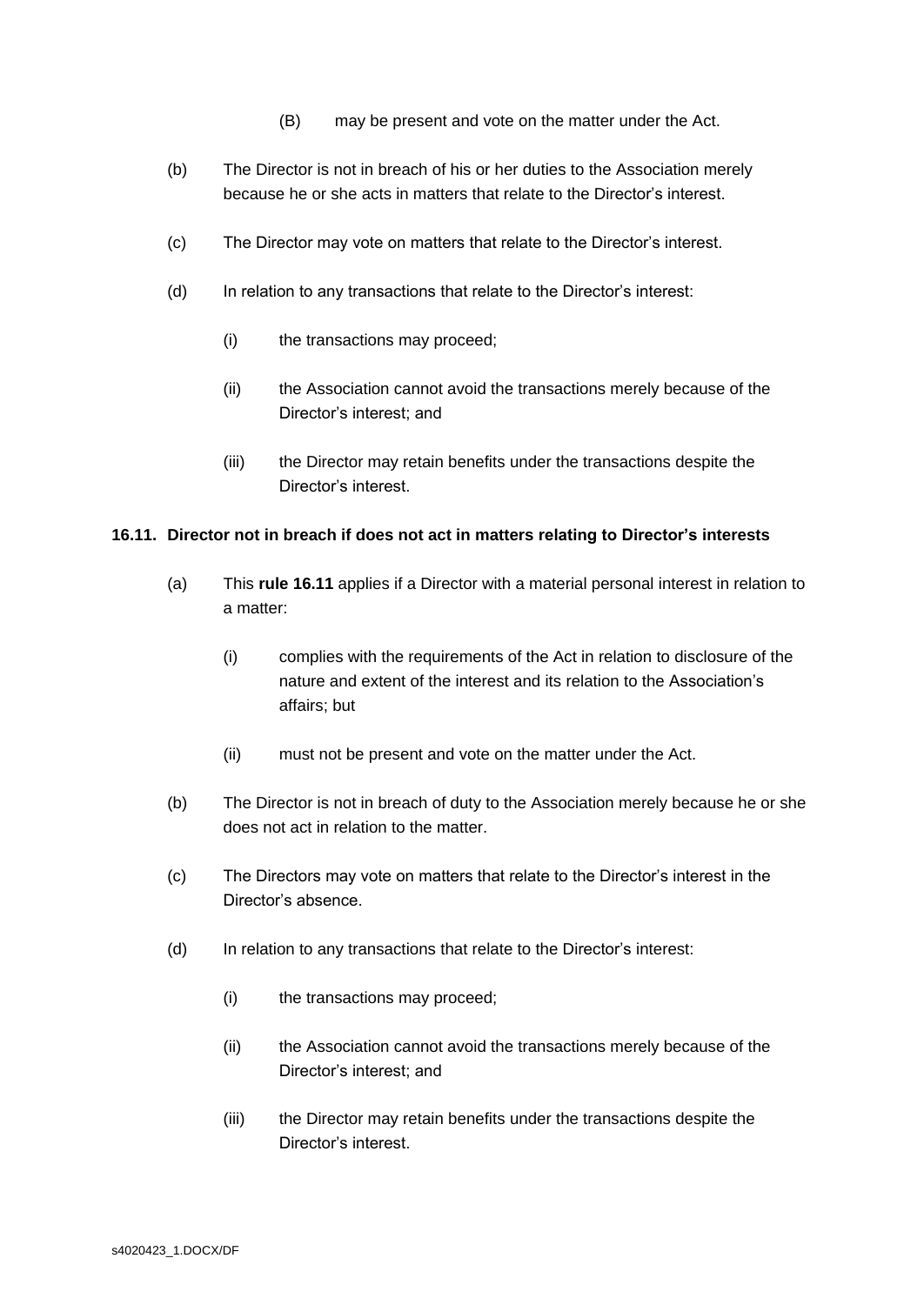- (B) may be present and vote on the matter under the Act.
- (b) The Director is not in breach of his or her duties to the Association merely because he or she acts in matters that relate to the Director's interest.
- (c) The Director may vote on matters that relate to the Director's interest.
- (d) In relation to any transactions that relate to the Director's interest:
	- (i) the transactions may proceed;
	- (ii) the Association cannot avoid the transactions merely because of the Director's interest; and
	- (iii) the Director may retain benefits under the transactions despite the Director's interest.

## <span id="page-26-0"></span>**16.11. Director not in breach if does not act in matters relating to Director's interests**

- (a) This **rule [16.11](#page-26-0)** applies if a Director with a material personal interest in relation to a matter:
	- (i) complies with the requirements of the Act in relation to disclosure of the nature and extent of the interest and its relation to the Association's affairs; but
	- (ii) must not be present and vote on the matter under the Act.
- (b) The Director is not in breach of duty to the Association merely because he or she does not act in relation to the matter.
- (c) The Directors may vote on matters that relate to the Director's interest in the Director's absence.
- (d) In relation to any transactions that relate to the Director's interest:
	- (i) the transactions may proceed;
	- (ii) the Association cannot avoid the transactions merely because of the Director's interest; and
	- (iii) the Director may retain benefits under the transactions despite the Director's interest.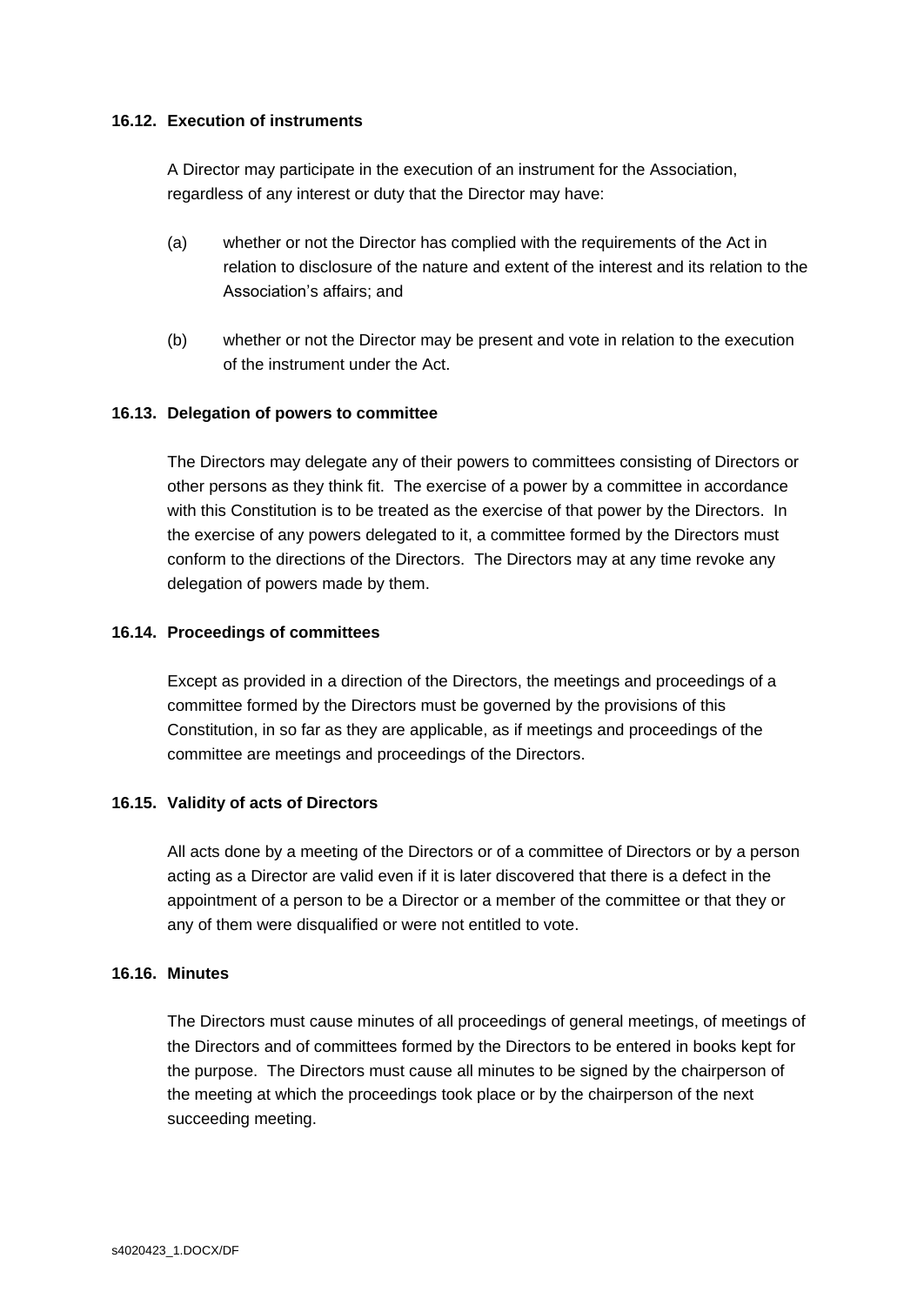#### **16.12. Execution of instruments**

A Director may participate in the execution of an instrument for the Association, regardless of any interest or duty that the Director may have:

- (a) whether or not the Director has complied with the requirements of the Act in relation to disclosure of the nature and extent of the interest and its relation to the Association's affairs; and
- (b) whether or not the Director may be present and vote in relation to the execution of the instrument under the Act.

## **16.13. Delegation of powers to committee**

The Directors may delegate any of their powers to committees consisting of Directors or other persons as they think fit. The exercise of a power by a committee in accordance with this Constitution is to be treated as the exercise of that power by the Directors. In the exercise of any powers delegated to it, a committee formed by the Directors must conform to the directions of the Directors. The Directors may at any time revoke any delegation of powers made by them.

## **16.14. Proceedings of committees**

Except as provided in a direction of the Directors, the meetings and proceedings of a committee formed by the Directors must be governed by the provisions of this Constitution, in so far as they are applicable, as if meetings and proceedings of the committee are meetings and proceedings of the Directors.

#### **16.15. Validity of acts of Directors**

All acts done by a meeting of the Directors or of a committee of Directors or by a person acting as a Director are valid even if it is later discovered that there is a defect in the appointment of a person to be a Director or a member of the committee or that they or any of them were disqualified or were not entitled to vote.

#### **16.16. Minutes**

The Directors must cause minutes of all proceedings of general meetings, of meetings of the Directors and of committees formed by the Directors to be entered in books kept for the purpose. The Directors must cause all minutes to be signed by the chairperson of the meeting at which the proceedings took place or by the chairperson of the next succeeding meeting.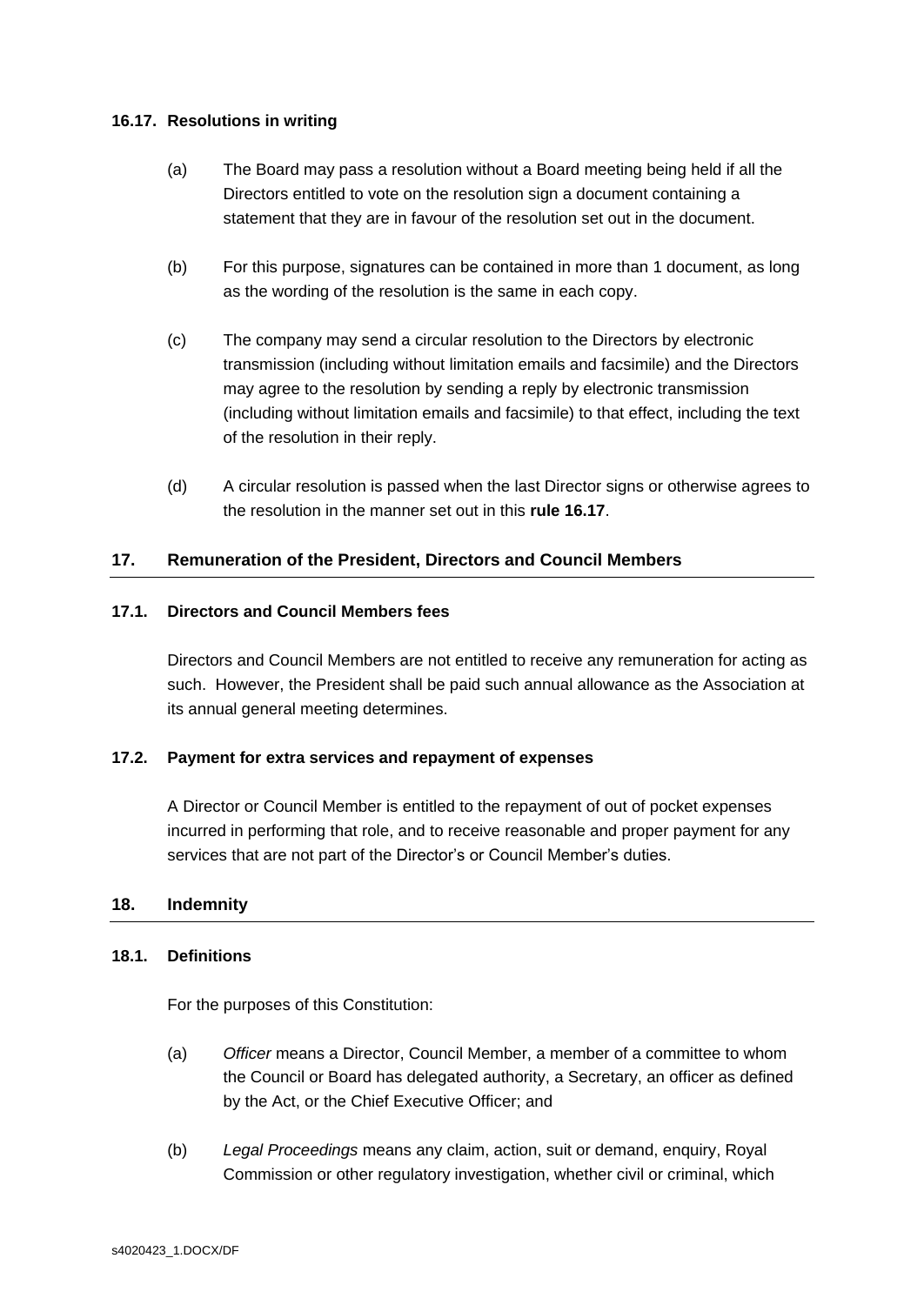## <span id="page-28-2"></span>**16.17. Resolutions in writing**

- (a) The Board may pass a resolution without a Board meeting being held if all the Directors entitled to vote on the resolution sign a document containing a statement that they are in favour of the resolution set out in the document.
- (b) For this purpose, signatures can be contained in more than 1 document, as long as the wording of the resolution is the same in each copy.
- (c) The company may send a circular resolution to the Directors by electronic transmission (including without limitation emails and facsimile) and the Directors may agree to the resolution by sending a reply by electronic transmission (including without limitation emails and facsimile) to that effect, including the text of the resolution in their reply.
- (d) A circular resolution is passed when the last Director signs or otherwise agrees to the resolution in the manner set out in this **rule [16.17](#page-28-2)**.

# <span id="page-28-0"></span>**17. Remuneration of the President, Directors and Council Members**

#### **17.1. Directors and Council Members fees**

Directors and Council Members are not entitled to receive any remuneration for acting as such. However, the President shall be paid such annual allowance as the Association at its annual general meeting determines.

#### **17.2. Payment for extra services and repayment of expenses**

A Director or Council Member is entitled to the repayment of out of pocket expenses incurred in performing that role, and to receive reasonable and proper payment for any services that are not part of the Director's or Council Member's duties.

#### <span id="page-28-1"></span>**18. Indemnity**

# **18.1. Definitions**

For the purposes of this Constitution:

- (a) *Officer* means a Director, Council Member, a member of a committee to whom the Council or Board has delegated authority, a Secretary, an officer as defined by the Act, or the Chief Executive Officer; and
- (b) *Legal Proceedings* means any claim, action, suit or demand, enquiry, Royal Commission or other regulatory investigation, whether civil or criminal, which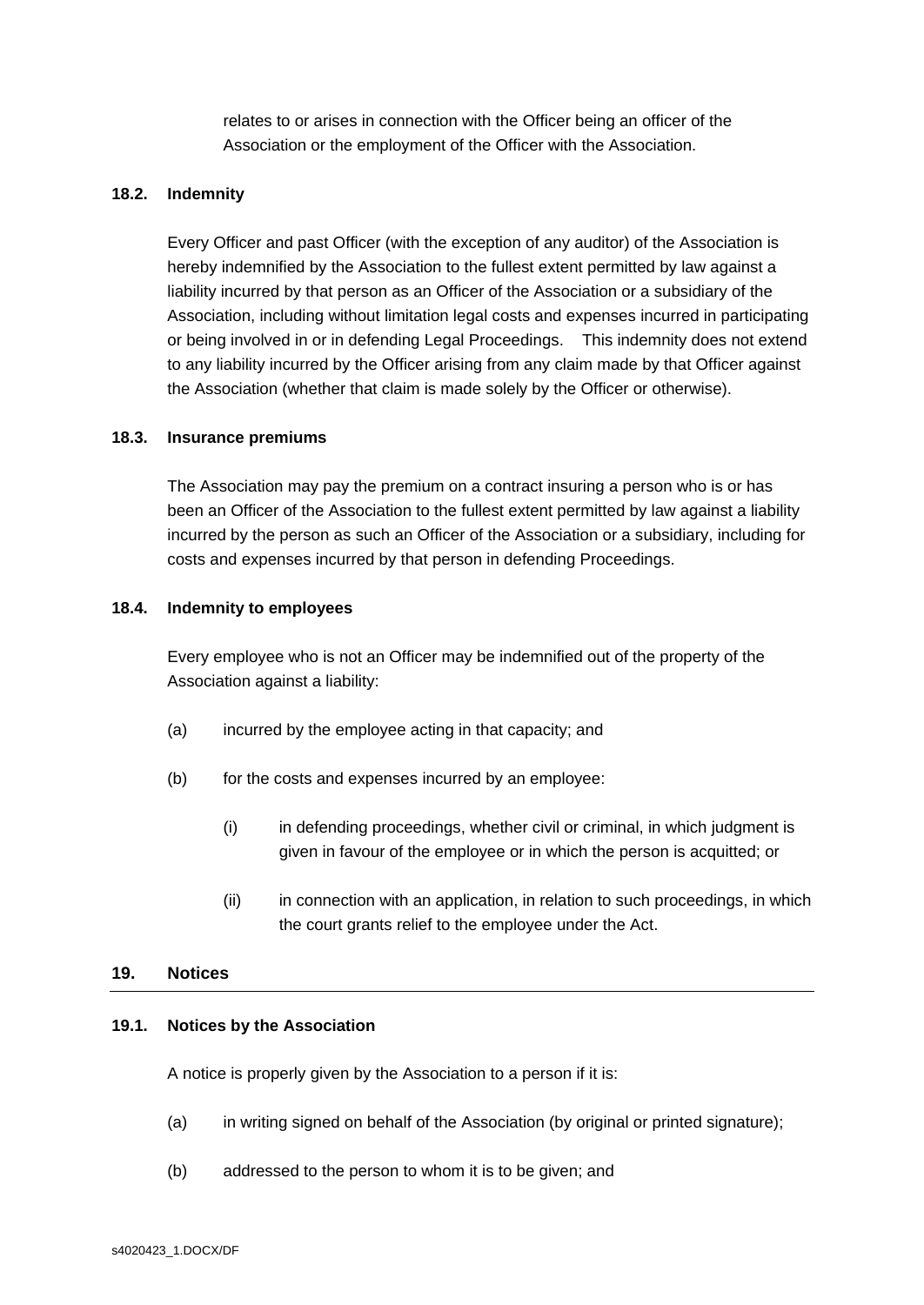relates to or arises in connection with the Officer being an officer of the Association or the employment of the Officer with the Association.

## **18.2. Indemnity**

Every Officer and past Officer (with the exception of any auditor) of the Association is hereby indemnified by the Association to the fullest extent permitted by law against a liability incurred by that person as an Officer of the Association or a subsidiary of the Association, including without limitation legal costs and expenses incurred in participating or being involved in or in defending Legal Proceedings. This indemnity does not extend to any liability incurred by the Officer arising from any claim made by that Officer against the Association (whether that claim is made solely by the Officer or otherwise).

#### **18.3. Insurance premiums**

The Association may pay the premium on a contract insuring a person who is or has been an Officer of the Association to the fullest extent permitted by law against a liability incurred by the person as such an Officer of the Association or a subsidiary, including for costs and expenses incurred by that person in defending Proceedings.

#### **18.4. Indemnity to employees**

Every employee who is not an Officer may be indemnified out of the property of the Association against a liability:

- (a) incurred by the employee acting in that capacity; and
- (b) for the costs and expenses incurred by an employee:
	- (i) in defending proceedings, whether civil or criminal, in which judgment is given in favour of the employee or in which the person is acquitted; or
	- (ii) in connection with an application, in relation to such proceedings, in which the court grants relief to the employee under the Act.

#### <span id="page-29-0"></span>**19. Notices**

# **19.1. Notices by the Association**

A notice is properly given by the Association to a person if it is:

- (a) in writing signed on behalf of the Association (by original or printed signature);
- (b) addressed to the person to whom it is to be given; and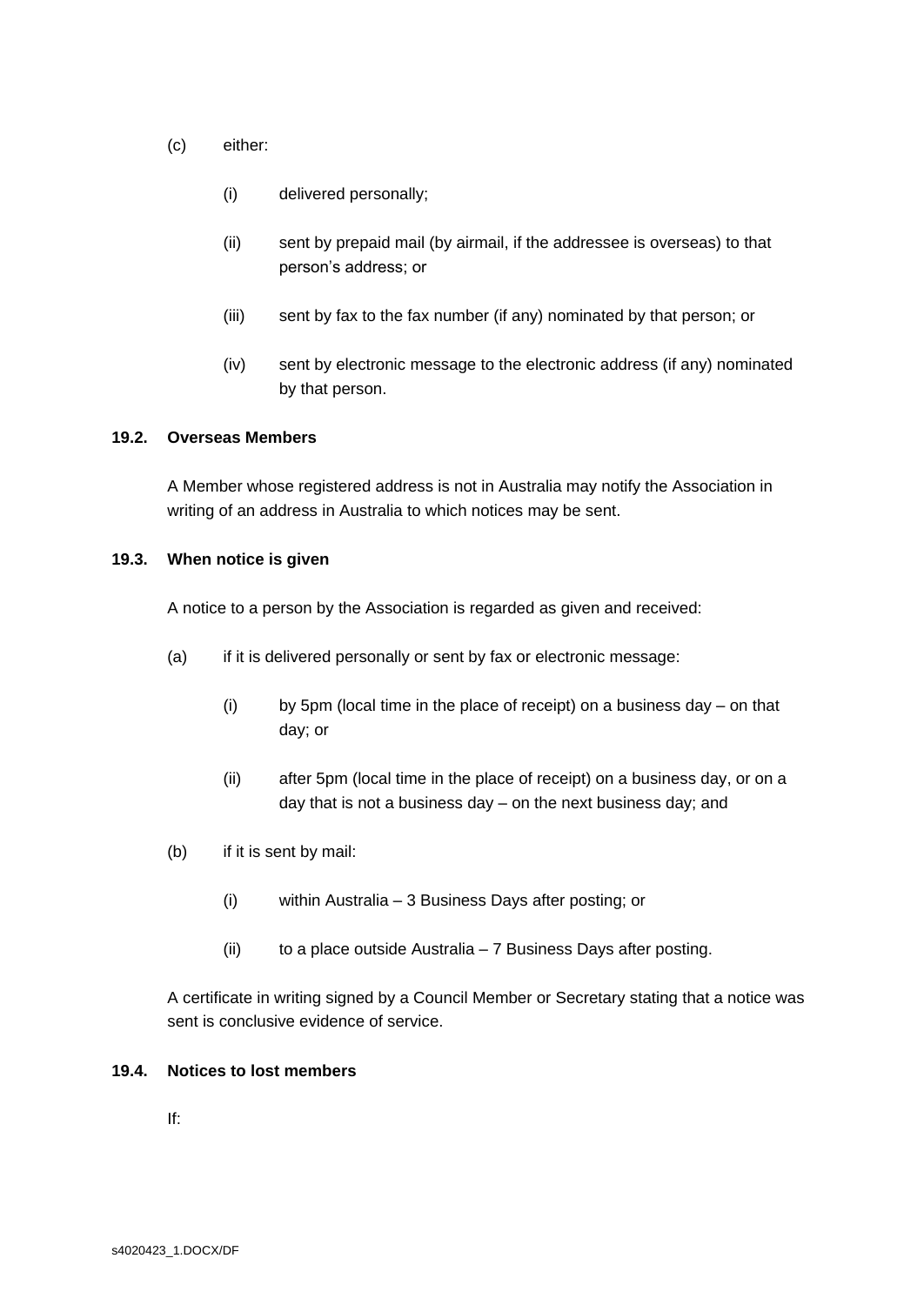- (c) either:
	- (i) delivered personally;
	- (ii) sent by prepaid mail (by airmail, if the addressee is overseas) to that person's address; or
	- (iii) sent by fax to the fax number (if any) nominated by that person; or
	- (iv) sent by electronic message to the electronic address (if any) nominated by that person.

#### <span id="page-30-0"></span>**19.2. Overseas Members**

A Member whose registered address is not in Australia may notify the Association in writing of an address in Australia to which notices may be sent.

#### **19.3. When notice is given**

A notice to a person by the Association is regarded as given and received:

- (a) if it is delivered personally or sent by fax or electronic message:
	- (i) by 5pm (local time in the place of receipt) on a business day on that day; or
	- (ii) after 5pm (local time in the place of receipt) on a business day, or on a day that is not a business day – on the next business day; and
- (b) if it is sent by mail:
	- (i) within Australia 3 Business Days after posting; or
	- (ii) to a place outside Australia  $-7$  Business Days after posting.

A certificate in writing signed by a Council Member or Secretary stating that a notice was sent is conclusive evidence of service.

#### **19.4. Notices to lost members**

If: